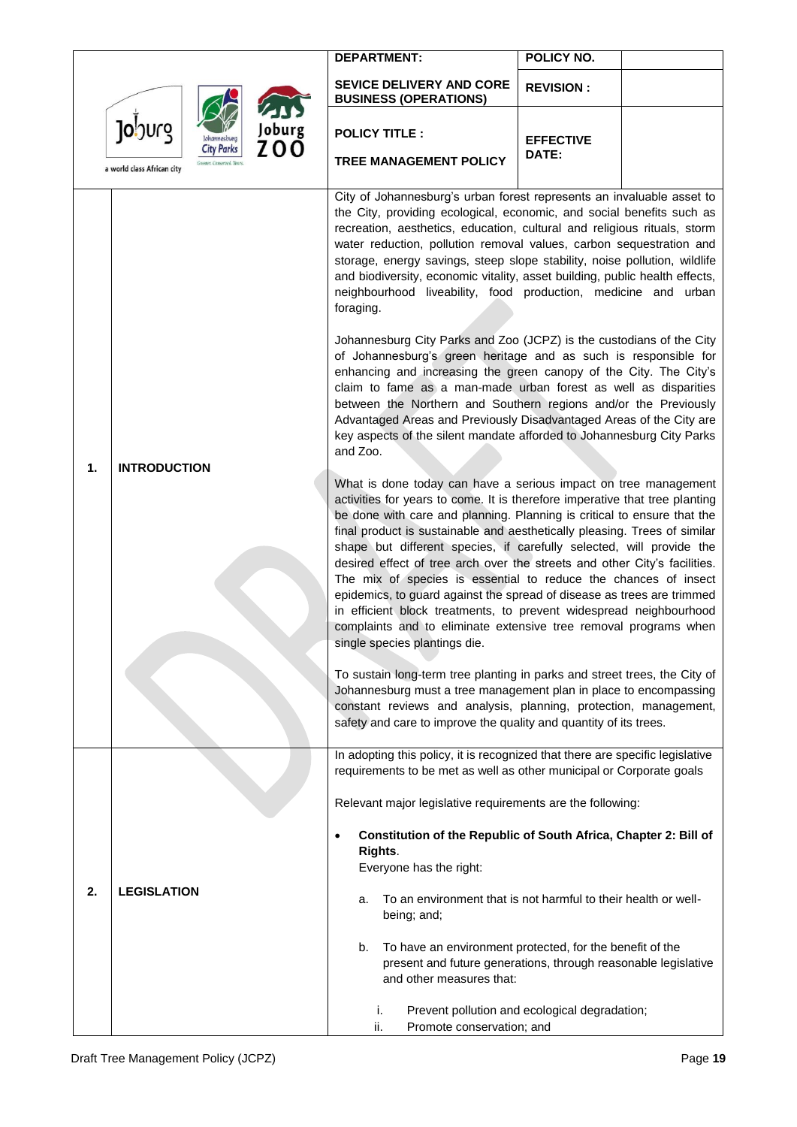|                                                                            |                     | <b>DEPARTMENT:</b>                                                                                                                                                                                                                                                                                                                                                                                                                                                                                                                                                                                                                                                                                                                                                                                                                                                                                                                                                                                                                                             | POLICY NO.                |  |  |  |
|----------------------------------------------------------------------------|---------------------|----------------------------------------------------------------------------------------------------------------------------------------------------------------------------------------------------------------------------------------------------------------------------------------------------------------------------------------------------------------------------------------------------------------------------------------------------------------------------------------------------------------------------------------------------------------------------------------------------------------------------------------------------------------------------------------------------------------------------------------------------------------------------------------------------------------------------------------------------------------------------------------------------------------------------------------------------------------------------------------------------------------------------------------------------------------|---------------------------|--|--|--|
| Joburg<br>Joburg<br>ZOO<br><b>City Parks</b><br>a world class African city |                     | <b>SEVICE DELIVERY AND CORE</b><br><b>BUSINESS (OPERATIONS)</b>                                                                                                                                                                                                                                                                                                                                                                                                                                                                                                                                                                                                                                                                                                                                                                                                                                                                                                                                                                                                | <b>REVISION:</b>          |  |  |  |
|                                                                            |                     | <b>POLICY TITLE:</b><br><b>TREE MANAGEMENT POLICY</b>                                                                                                                                                                                                                                                                                                                                                                                                                                                                                                                                                                                                                                                                                                                                                                                                                                                                                                                                                                                                          | <b>EFFECTIVE</b><br>DATE: |  |  |  |
|                                                                            |                     | City of Johannesburg's urban forest represents an invaluable asset to<br>the City, providing ecological, economic, and social benefits such as<br>recreation, aesthetics, education, cultural and religious rituals, storm<br>water reduction, pollution removal values, carbon sequestration and<br>storage, energy savings, steep slope stability, noise pollution, wildlife<br>and biodiversity, economic vitality, asset building, public health effects,<br>neighbourhood liveability, food production, medicine and urban<br>foraging.<br>Johannesburg City Parks and Zoo (JCPZ) is the custodians of the City<br>of Johannesburg's green heritage and as such is responsible for<br>enhancing and increasing the green canopy of the City. The City's<br>claim to fame as a man-made urban forest as well as disparities<br>between the Northern and Southern regions and/or the Previously<br>Advantaged Areas and Previously Disadvantaged Areas of the City are<br>key aspects of the silent mandate afforded to Johannesburg City Parks<br>and Zoo. |                           |  |  |  |
| 1.                                                                         | <b>INTRODUCTION</b> | What is done today can have a serious impact on tree management<br>activities for years to come. It is therefore imperative that tree planting<br>be done with care and planning. Planning is critical to ensure that the<br>final product is sustainable and aesthetically pleasing. Trees of similar<br>shape but different species, if carefully selected, will provide the<br>desired effect of tree arch over the streets and other City's facilities.<br>The mix of species is essential to reduce the chances of insect<br>epidemics, to guard against the spread of disease as trees are trimmed<br>in efficient block treatments, to prevent widespread neighbourhood<br>complaints and to eliminate extensive tree removal programs when<br>single species plantings die.                                                                                                                                                                                                                                                                            |                           |  |  |  |
|                                                                            |                     | To sustain long-term tree planting in parks and street trees, the City of<br>Johannesburg must a tree management plan in place to encompassing<br>constant reviews and analysis, planning, protection, management,<br>safety and care to improve the quality and quantity of its trees.                                                                                                                                                                                                                                                                                                                                                                                                                                                                                                                                                                                                                                                                                                                                                                        |                           |  |  |  |
| 2.                                                                         | <b>LEGISLATION</b>  | In adopting this policy, it is recognized that there are specific legislative<br>requirements to be met as well as other municipal or Corporate goals<br>Relevant major legislative requirements are the following:<br>Constitution of the Republic of South Africa, Chapter 2: Bill of<br>$\bullet$<br>Rights.<br>Everyone has the right:<br>To an environment that is not harmful to their health or well-<br>a.<br>being; and;<br>b.<br>To have an environment protected, for the benefit of the<br>present and future generations, through reasonable legislative<br>and other measures that:<br>i.<br>Prevent pollution and ecological degradation;                                                                                                                                                                                                                                                                                                                                                                                                       |                           |  |  |  |
|                                                                            |                     | ii.<br>Promote conservation; and                                                                                                                                                                                                                                                                                                                                                                                                                                                                                                                                                                                                                                                                                                                                                                                                                                                                                                                                                                                                                               |                           |  |  |  |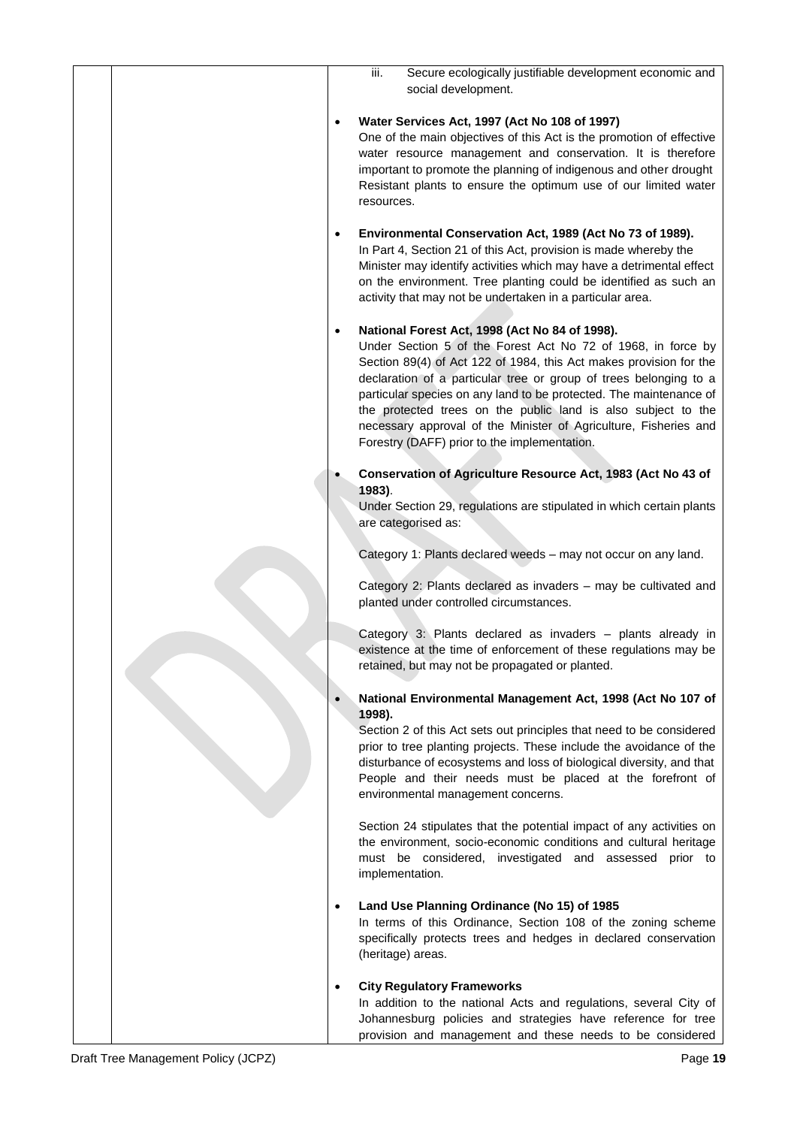| Secure ecologically justifiable development economic and<br>iii.<br>social development.                                                                                                                                                                                                                                                                                                                                                                                                                                           |
|-----------------------------------------------------------------------------------------------------------------------------------------------------------------------------------------------------------------------------------------------------------------------------------------------------------------------------------------------------------------------------------------------------------------------------------------------------------------------------------------------------------------------------------|
|                                                                                                                                                                                                                                                                                                                                                                                                                                                                                                                                   |
| Water Services Act, 1997 (Act No 108 of 1997)<br>$\bullet$<br>One of the main objectives of this Act is the promotion of effective<br>water resource management and conservation. It is therefore<br>important to promote the planning of indigenous and other drought<br>Resistant plants to ensure the optimum use of our limited water<br>resources.                                                                                                                                                                           |
| Environmental Conservation Act, 1989 (Act No 73 of 1989).<br>$\bullet$<br>In Part 4, Section 21 of this Act, provision is made whereby the<br>Minister may identify activities which may have a detrimental effect<br>on the environment. Tree planting could be identified as such an<br>activity that may not be undertaken in a particular area.                                                                                                                                                                               |
| National Forest Act, 1998 (Act No 84 of 1998).<br>$\bullet$<br>Under Section 5 of the Forest Act No 72 of 1968, in force by<br>Section 89(4) of Act 122 of 1984, this Act makes provision for the<br>declaration of a particular tree or group of trees belonging to a<br>particular species on any land to be protected. The maintenance of<br>the protected trees on the public land is also subject to the<br>necessary approval of the Minister of Agriculture, Fisheries and<br>Forestry (DAFF) prior to the implementation. |
| Conservation of Agriculture Resource Act, 1983 (Act No 43 of                                                                                                                                                                                                                                                                                                                                                                                                                                                                      |
| 1983).<br>Under Section 29, regulations are stipulated in which certain plants<br>are categorised as:                                                                                                                                                                                                                                                                                                                                                                                                                             |
| Category 1: Plants declared weeds - may not occur on any land.                                                                                                                                                                                                                                                                                                                                                                                                                                                                    |
| Category 2: Plants declared as invaders - may be cultivated and<br>planted under controlled circumstances.                                                                                                                                                                                                                                                                                                                                                                                                                        |
| Category 3: Plants declared as invaders - plants already in<br>existence at the time of enforcement of these regulations may be<br>retained, but may not be propagated or planted.                                                                                                                                                                                                                                                                                                                                                |
| National Environmental Management Act, 1998 (Act No 107 of                                                                                                                                                                                                                                                                                                                                                                                                                                                                        |
| 1998).<br>Section 2 of this Act sets out principles that need to be considered<br>prior to tree planting projects. These include the avoidance of the<br>disturbance of ecosystems and loss of biological diversity, and that<br>People and their needs must be placed at the forefront of<br>environmental management concerns.                                                                                                                                                                                                  |
| Section 24 stipulates that the potential impact of any activities on<br>the environment, socio-economic conditions and cultural heritage<br>must be considered, investigated and assessed prior to<br>implementation.                                                                                                                                                                                                                                                                                                             |
| Land Use Planning Ordinance (No 15) of 1985<br>$\bullet$<br>In terms of this Ordinance, Section 108 of the zoning scheme                                                                                                                                                                                                                                                                                                                                                                                                          |
| specifically protects trees and hedges in declared conservation<br>(heritage) areas.                                                                                                                                                                                                                                                                                                                                                                                                                                              |
| <b>City Regulatory Frameworks</b>                                                                                                                                                                                                                                                                                                                                                                                                                                                                                                 |
| In addition to the national Acts and regulations, several City of<br>Johannesburg policies and strategies have reference for tree                                                                                                                                                                                                                                                                                                                                                                                                 |
| provision and management and these needs to be considered                                                                                                                                                                                                                                                                                                                                                                                                                                                                         |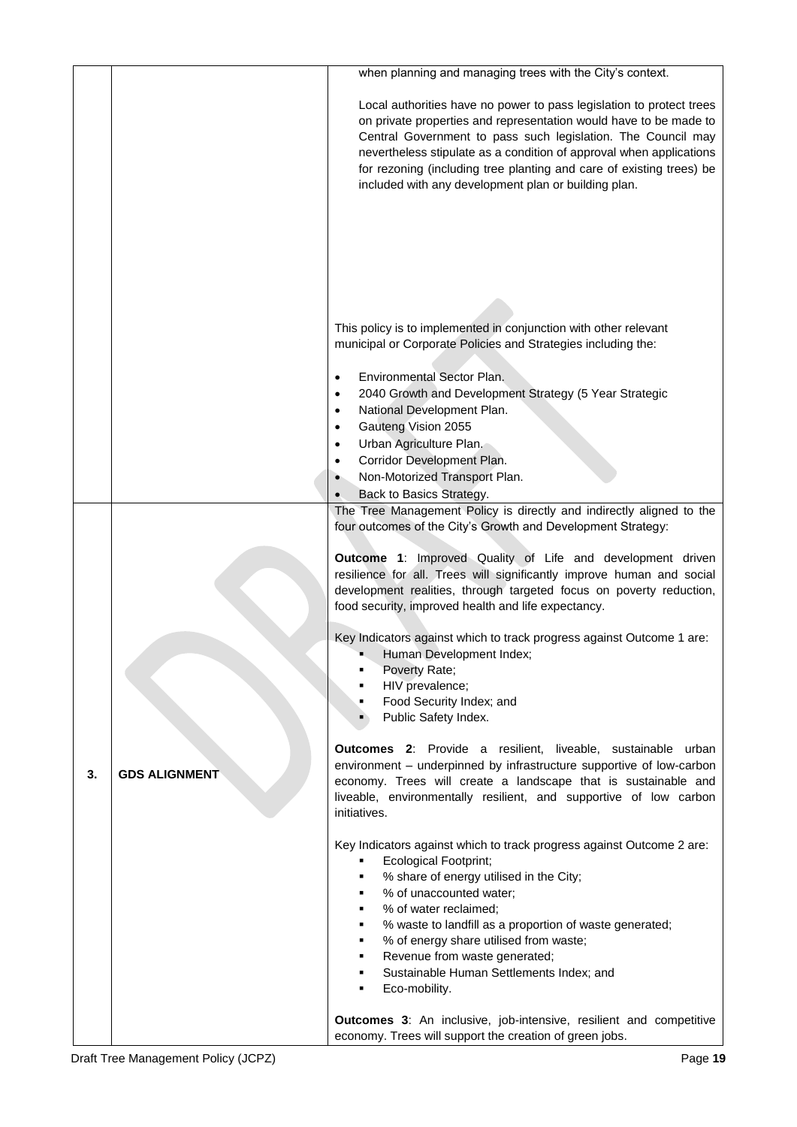|    |                      | when planning and managing trees with the City's context.                                                                                                                                                                                                                                                                                                                                                                                                                                                                                                                                                                                                                                                                                                                                                                                                                                                                                                                           |
|----|----------------------|-------------------------------------------------------------------------------------------------------------------------------------------------------------------------------------------------------------------------------------------------------------------------------------------------------------------------------------------------------------------------------------------------------------------------------------------------------------------------------------------------------------------------------------------------------------------------------------------------------------------------------------------------------------------------------------------------------------------------------------------------------------------------------------------------------------------------------------------------------------------------------------------------------------------------------------------------------------------------------------|
|    |                      | Local authorities have no power to pass legislation to protect trees<br>on private properties and representation would have to be made to<br>Central Government to pass such legislation. The Council may<br>nevertheless stipulate as a condition of approval when applications<br>for rezoning (including tree planting and care of existing trees) be<br>included with any development plan or building plan.                                                                                                                                                                                                                                                                                                                                                                                                                                                                                                                                                                    |
|    |                      | This policy is to implemented in conjunction with other relevant<br>municipal or Corporate Policies and Strategies including the:<br>Environmental Sector Plan.<br>$\bullet$<br>2040 Growth and Development Strategy (5 Year Strategic<br>$\bullet$<br>National Development Plan.<br>$\bullet$<br>Gauteng Vision 2055<br>$\bullet$                                                                                                                                                                                                                                                                                                                                                                                                                                                                                                                                                                                                                                                  |
|    |                      | Urban Agriculture Plan.<br>Corridor Development Plan.                                                                                                                                                                                                                                                                                                                                                                                                                                                                                                                                                                                                                                                                                                                                                                                                                                                                                                                               |
|    |                      | Non-Motorized Transport Plan.<br>Back to Basics Strategy.                                                                                                                                                                                                                                                                                                                                                                                                                                                                                                                                                                                                                                                                                                                                                                                                                                                                                                                           |
| 3. | <b>GDS ALIGNMENT</b> | The Tree Management Policy is directly and indirectly aligned to the<br>four outcomes of the City's Growth and Development Strategy:<br>Outcome 1: Improved Quality of Life and development driven<br>resilience for all. Trees will significantly improve human and social<br>development realities, through targeted focus on poverty reduction,<br>food security, improved health and life expectancy.<br>Key Indicators against which to track progress against Outcome 1 are:<br>Human Development Index;<br>Poverty Rate;<br>HIV prevalence;<br>Food Security Index; and<br>٠<br>Public Safety Index.<br>Outcomes 2: Provide a resilient, liveable, sustainable urban<br>environment - underpinned by infrastructure supportive of low-carbon<br>economy. Trees will create a landscape that is sustainable and<br>liveable, environmentally resilient, and supportive of low carbon<br>initiatives.<br>Key Indicators against which to track progress against Outcome 2 are: |
|    |                      | <b>Ecological Footprint;</b><br>٠<br>% share of energy utilised in the City;<br>% of unaccounted water;<br>٠<br>% of water reclaimed;<br>٠<br>% waste to landfill as a proportion of waste generated;<br>٠<br>% of energy share utilised from waste;<br>٠<br>Revenue from waste generated;<br>٠<br>Sustainable Human Settlements Index; and<br>٠<br>Eco-mobility.<br>٠                                                                                                                                                                                                                                                                                                                                                                                                                                                                                                                                                                                                              |
|    |                      | <b>Outcomes 3:</b> An inclusive, job-intensive, resilient and competitive<br>economy. Trees will support the creation of green jobs.                                                                                                                                                                                                                                                                                                                                                                                                                                                                                                                                                                                                                                                                                                                                                                                                                                                |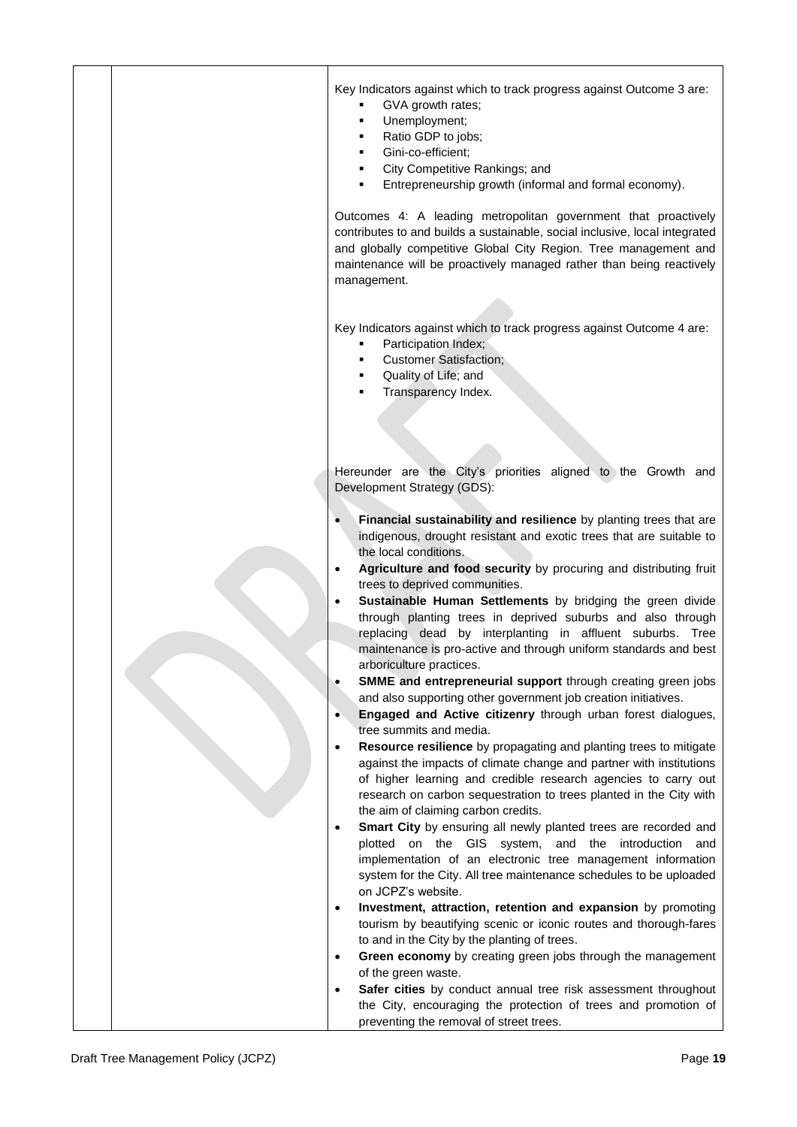|  |  | Key Indicators against which to track progress against Outcome 3 are:<br>GVA growth rates;<br>Unemployment;<br>Ratio GDP to jobs;<br>Gini-co-efficient;<br>City Competitive Rankings; and<br>Entrepreneurship growth (informal and formal economy).                                                                     |
|--|--|-------------------------------------------------------------------------------------------------------------------------------------------------------------------------------------------------------------------------------------------------------------------------------------------------------------------------|
|  |  | Outcomes 4: A leading metropolitan government that proactively<br>contributes to and builds a sustainable, social inclusive, local integrated<br>and globally competitive Global City Region. Tree management and<br>maintenance will be proactively managed rather than being reactively<br>management.                |
|  |  | Key Indicators against which to track progress against Outcome 4 are:<br>Participation Index;<br><b>Customer Satisfaction;</b><br>Quality of Life; and<br>Transparency Index.                                                                                                                                           |
|  |  |                                                                                                                                                                                                                                                                                                                         |
|  |  |                                                                                                                                                                                                                                                                                                                         |
|  |  | Hereunder are the City's priorities aligned to the Growth and<br>Development Strategy (GDS):                                                                                                                                                                                                                            |
|  |  | Financial sustainability and resilience by planting trees that are<br>indigenous, drought resistant and exotic trees that are suitable to<br>the local conditions.<br>Agriculture and food security by procuring and distributing fruit                                                                                 |
|  |  | trees to deprived communities.<br>Sustainable Human Settlements by bridging the green divide<br>through planting trees in deprived suburbs and also through<br>replacing dead by interplanting in affluent suburbs. Tree<br>maintenance is pro-active and through uniform standards and best                            |
|  |  | arboriculture practices.<br>SMME and entrepreneurial support through creating green jobs<br>and also supporting other government job creation initiatives.                                                                                                                                                              |
|  |  | Engaged and Active citizenry through urban forest dialogues,<br>tree summits and media.                                                                                                                                                                                                                                 |
|  |  | Resource resilience by propagating and planting trees to mitigate<br>against the impacts of climate change and partner with institutions<br>of higher learning and credible research agencies to carry out<br>research on carbon sequestration to trees planted in the City with<br>the aim of claiming carbon credits. |
|  |  | Smart City by ensuring all newly planted trees are recorded and<br>$\bullet$<br>plotted on the GIS system,<br>and the introduction<br>and<br>implementation of an electronic tree management information<br>system for the City. All tree maintenance schedules to be uploaded                                          |
|  |  | on JCPZ's website.                                                                                                                                                                                                                                                                                                      |
|  |  | Investment, attraction, retention and expansion by promoting<br>$\bullet$<br>tourism by beautifying scenic or iconic routes and thorough-fares                                                                                                                                                                          |
|  |  | to and in the City by the planting of trees.<br>Green economy by creating green jobs through the management<br>$\bullet$                                                                                                                                                                                                |
|  |  | of the green waste.                                                                                                                                                                                                                                                                                                     |
|  |  | Safer cities by conduct annual tree risk assessment throughout                                                                                                                                                                                                                                                          |
|  |  | the City, encouraging the protection of trees and promotion of<br>preventing the removal of street trees.                                                                                                                                                                                                               |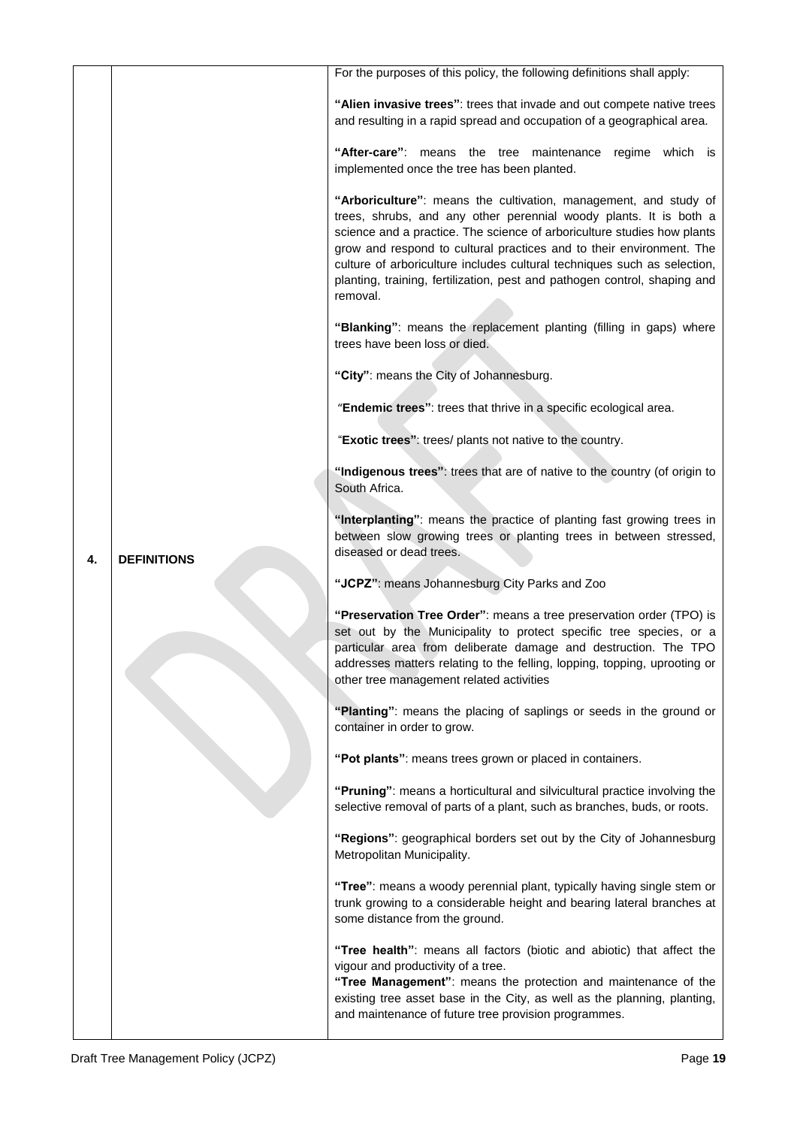|    |                    | For the purposes of this policy, the following definitions shall apply:                                                                                                                                                                                                                                                                                                                                                                                       |
|----|--------------------|---------------------------------------------------------------------------------------------------------------------------------------------------------------------------------------------------------------------------------------------------------------------------------------------------------------------------------------------------------------------------------------------------------------------------------------------------------------|
|    |                    | "Alien invasive trees": trees that invade and out compete native trees<br>and resulting in a rapid spread and occupation of a geographical area.                                                                                                                                                                                                                                                                                                              |
|    |                    | "After-care": means the tree maintenance regime which is<br>implemented once the tree has been planted.                                                                                                                                                                                                                                                                                                                                                       |
|    |                    | "Arboriculture": means the cultivation, management, and study of<br>trees, shrubs, and any other perennial woody plants. It is both a<br>science and a practice. The science of arboriculture studies how plants<br>grow and respond to cultural practices and to their environment. The<br>culture of arboriculture includes cultural techniques such as selection,<br>planting, training, fertilization, pest and pathogen control, shaping and<br>removal. |
|    |                    | "Blanking": means the replacement planting (filling in gaps) where<br>trees have been loss or died.                                                                                                                                                                                                                                                                                                                                                           |
|    |                    | "City": means the City of Johannesburg.                                                                                                                                                                                                                                                                                                                                                                                                                       |
|    |                    | "Endemic trees": trees that thrive in a specific ecological area.                                                                                                                                                                                                                                                                                                                                                                                             |
|    | <b>DEFINITIONS</b> | "Exotic trees": trees/ plants not native to the country.                                                                                                                                                                                                                                                                                                                                                                                                      |
|    |                    | "Indigenous trees": trees that are of native to the country (of origin to<br>South Africa.                                                                                                                                                                                                                                                                                                                                                                    |
| 4. |                    | "Interplanting": means the practice of planting fast growing trees in<br>between slow growing trees or planting trees in between stressed,<br>diseased or dead trees.                                                                                                                                                                                                                                                                                         |
|    |                    | "JCPZ": means Johannesburg City Parks and Zoo                                                                                                                                                                                                                                                                                                                                                                                                                 |
|    |                    | "Preservation Tree Order": means a tree preservation order (TPO) is<br>set out by the Municipality to protect specific tree species, or a<br>particular area from deliberate damage and destruction. The TPO<br>addresses matters relating to the felling, lopping, topping, uprooting or<br>other tree management related activities                                                                                                                         |
|    |                    | "Planting": means the placing of saplings or seeds in the ground or<br>container in order to grow.                                                                                                                                                                                                                                                                                                                                                            |
|    |                    | "Pot plants": means trees grown or placed in containers.                                                                                                                                                                                                                                                                                                                                                                                                      |
|    |                    | "Pruning": means a horticultural and silvicultural practice involving the<br>selective removal of parts of a plant, such as branches, buds, or roots.                                                                                                                                                                                                                                                                                                         |
|    |                    | "Regions": geographical borders set out by the City of Johannesburg<br>Metropolitan Municipality.                                                                                                                                                                                                                                                                                                                                                             |
|    |                    | "Tree": means a woody perennial plant, typically having single stem or<br>trunk growing to a considerable height and bearing lateral branches at<br>some distance from the ground.                                                                                                                                                                                                                                                                            |
|    |                    | "Tree health": means all factors (biotic and abiotic) that affect the<br>vigour and productivity of a tree.<br>"Tree Management": means the protection and maintenance of the<br>existing tree asset base in the City, as well as the planning, planting,<br>and maintenance of future tree provision programmes.                                                                                                                                             |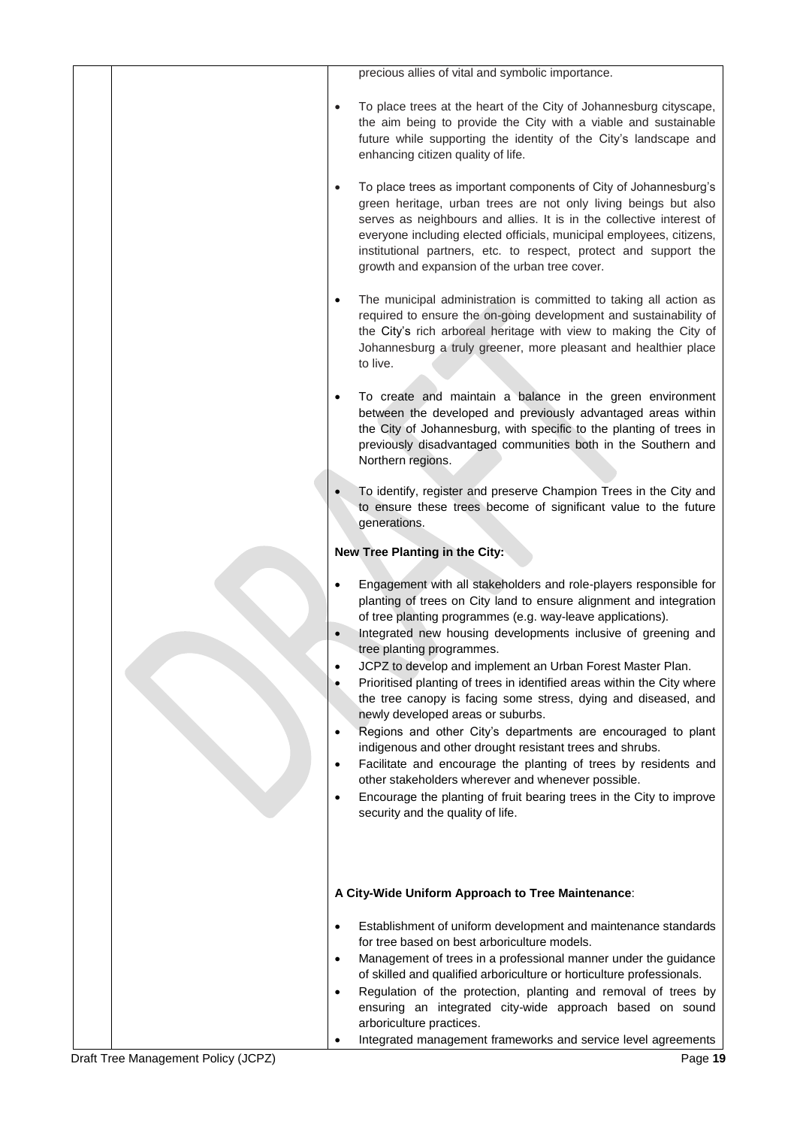| precious allies of vital and symbolic importance.                                                                                                                                                                                                                                                                                                                                                                                                                                                                                                                                                                                                                                                                                                                                                                                                                                                                                                    |
|------------------------------------------------------------------------------------------------------------------------------------------------------------------------------------------------------------------------------------------------------------------------------------------------------------------------------------------------------------------------------------------------------------------------------------------------------------------------------------------------------------------------------------------------------------------------------------------------------------------------------------------------------------------------------------------------------------------------------------------------------------------------------------------------------------------------------------------------------------------------------------------------------------------------------------------------------|
| To place trees at the heart of the City of Johannesburg cityscape,<br>$\bullet$<br>the aim being to provide the City with a viable and sustainable<br>future while supporting the identity of the City's landscape and<br>enhancing citizen quality of life.                                                                                                                                                                                                                                                                                                                                                                                                                                                                                                                                                                                                                                                                                         |
| To place trees as important components of City of Johannesburg's<br>$\bullet$<br>green heritage, urban trees are not only living beings but also<br>serves as neighbours and allies. It is in the collective interest of<br>everyone including elected officials, municipal employees, citizens,<br>institutional partners, etc. to respect, protect and support the<br>growth and expansion of the urban tree cover.                                                                                                                                                                                                                                                                                                                                                                                                                                                                                                                                |
| The municipal administration is committed to taking all action as<br>$\bullet$<br>required to ensure the on-going development and sustainability of<br>the City's rich arboreal heritage with view to making the City of<br>Johannesburg a truly greener, more pleasant and healthier place<br>to live.                                                                                                                                                                                                                                                                                                                                                                                                                                                                                                                                                                                                                                              |
| To create and maintain a balance in the green environment<br>$\bullet$<br>between the developed and previously advantaged areas within<br>the City of Johannesburg, with specific to the planting of trees in<br>previously disadvantaged communities both in the Southern and<br>Northern regions.                                                                                                                                                                                                                                                                                                                                                                                                                                                                                                                                                                                                                                                  |
| To identify, register and preserve Champion Trees in the City and<br>to ensure these trees become of significant value to the future<br>generations.                                                                                                                                                                                                                                                                                                                                                                                                                                                                                                                                                                                                                                                                                                                                                                                                 |
| New Tree Planting in the City:                                                                                                                                                                                                                                                                                                                                                                                                                                                                                                                                                                                                                                                                                                                                                                                                                                                                                                                       |
| Engagement with all stakeholders and role-players responsible for<br>planting of trees on City land to ensure alignment and integration<br>of tree planting programmes (e.g. way-leave applications).<br>Integrated new housing developments inclusive of greening and<br>tree planting programmes.<br>JCPZ to develop and implement an Urban Forest Master Plan.<br>Prioritised planting of trees in identified areas within the City where<br>the tree canopy is facing some stress, dying and diseased, and<br>newly developed areas or suburbs.<br>Regions and other City's departments are encouraged to plant<br>٠<br>indigenous and other drought resistant trees and shrubs.<br>Facilitate and encourage the planting of trees by residents and<br>$\bullet$<br>other stakeholders wherever and whenever possible.<br>Encourage the planting of fruit bearing trees in the City to improve<br>$\bullet$<br>security and the quality of life. |
| A City-Wide Uniform Approach to Tree Maintenance:                                                                                                                                                                                                                                                                                                                                                                                                                                                                                                                                                                                                                                                                                                                                                                                                                                                                                                    |
| Establishment of uniform development and maintenance standards<br>$\bullet$<br>for tree based on best arboriculture models.<br>Management of trees in a professional manner under the guidance<br>$\bullet$<br>of skilled and qualified arboriculture or horticulture professionals.<br>Regulation of the protection, planting and removal of trees by<br>$\bullet$<br>ensuring an integrated city-wide approach based on sound<br>arboriculture practices.<br>Integrated management frameworks and service level agreements                                                                                                                                                                                                                                                                                                                                                                                                                         |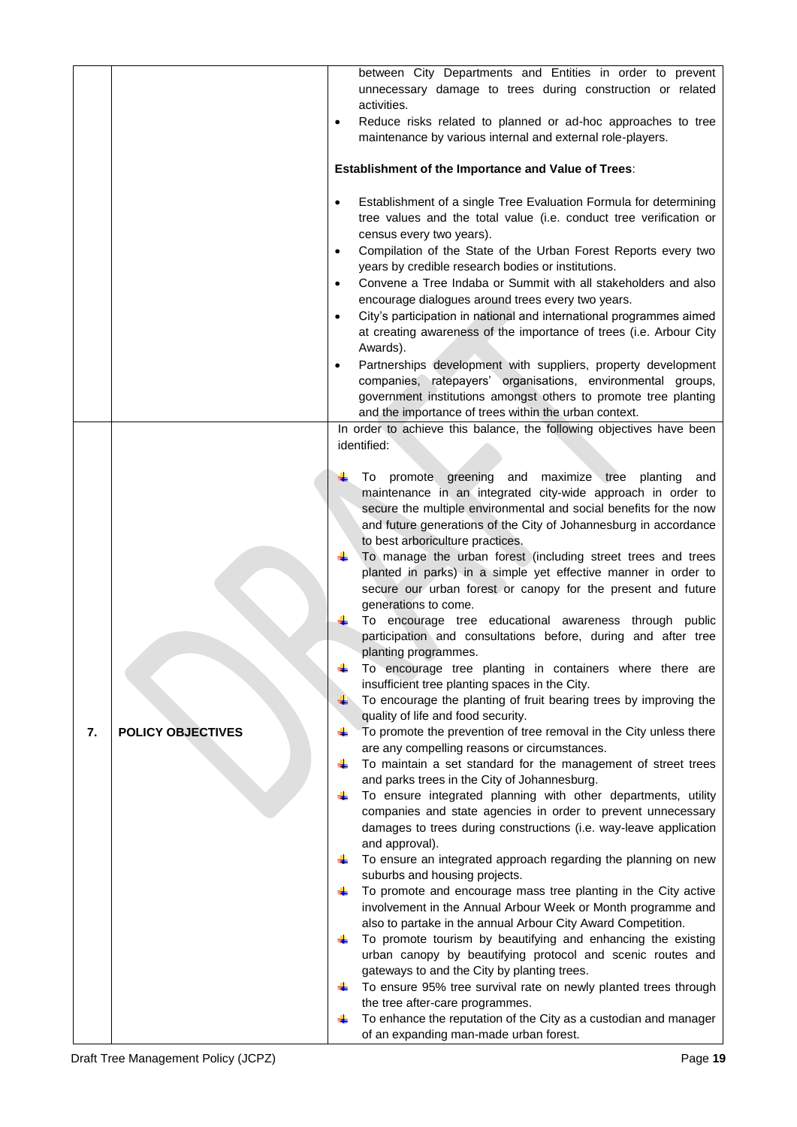|    |                          | between City Departments and Entities in order to prevent                                        |
|----|--------------------------|--------------------------------------------------------------------------------------------------|
|    |                          | unnecessary damage to trees during construction or related                                       |
|    |                          | activities.                                                                                      |
|    |                          | Reduce risks related to planned or ad-hoc approaches to tree<br>$\bullet$                        |
|    |                          | maintenance by various internal and external role-players.                                       |
|    |                          |                                                                                                  |
|    |                          | <b>Establishment of the Importance and Value of Trees:</b>                                       |
|    |                          | Establishment of a single Tree Evaluation Formula for determining<br>$\bullet$                   |
|    |                          | tree values and the total value (i.e. conduct tree verification or                               |
|    |                          | census every two years).                                                                         |
|    |                          | Compilation of the State of the Urban Forest Reports every two<br>$\bullet$                      |
|    |                          | years by credible research bodies or institutions.                                               |
|    |                          | Convene a Tree Indaba or Summit with all stakeholders and also<br>$\bullet$                      |
|    |                          | encourage dialogues around trees every two years.                                                |
|    |                          | City's participation in national and international programmes aimed<br>$\bullet$                 |
|    |                          | at creating awareness of the importance of trees (i.e. Arbour City                               |
|    |                          | Awards).                                                                                         |
|    |                          | Partnerships development with suppliers, property development<br>$\bullet$                       |
|    |                          | companies, ratepayers' organisations, environmental groups,                                      |
|    |                          | government institutions amongst others to promote tree planting                                  |
|    |                          | and the importance of trees within the urban context.                                            |
|    |                          | In order to achieve this balance, the following objectives have been                             |
|    |                          | identified:                                                                                      |
|    |                          |                                                                                                  |
|    |                          | To promote greening and maximize tree planting<br>and                                            |
|    |                          | maintenance in an integrated city-wide approach in order to                                      |
|    |                          | secure the multiple environmental and social benefits for the now                                |
|    |                          | and future generations of the City of Johannesburg in accordance                                 |
|    |                          | to best arboriculture practices.<br>To manage the urban forest (including street trees and trees |
|    |                          | planted in parks) in a simple yet effective manner in order to                                   |
|    |                          | secure our urban forest or canopy for the present and future                                     |
|    |                          | generations to come.                                                                             |
|    |                          | To encourage tree educational awareness through public                                           |
|    |                          | participation and consultations before, during and after tree                                    |
|    |                          | planting programmes.                                                                             |
|    |                          | To encourage tree planting in containers where there are                                         |
|    |                          | insufficient tree planting spaces in the City.                                                   |
|    |                          | To encourage the planting of fruit bearing trees by improving the                                |
|    |                          | quality of life and food security.                                                               |
| 7. | <b>POLICY OBJECTIVES</b> | To promote the prevention of tree removal in the City unless there                               |
|    |                          | are any compelling reasons or circumstances.                                                     |
|    |                          | To maintain a set standard for the management of street trees                                    |
|    |                          | and parks trees in the City of Johannesburg.                                                     |
|    |                          | To ensure integrated planning with other departments, utility                                    |
|    |                          | companies and state agencies in order to prevent unnecessary                                     |
|    |                          | damages to trees during constructions (i.e. way-leave application                                |
|    |                          | and approval).                                                                                   |
|    |                          | To ensure an integrated approach regarding the planning on new                                   |
|    |                          | suburbs and housing projects.<br>To promote and encourage mass tree planting in the City active  |
|    |                          | involvement in the Annual Arbour Week or Month programme and                                     |
|    |                          | also to partake in the annual Arbour City Award Competition.                                     |
|    |                          | To promote tourism by beautifying and enhancing the existing                                     |
|    |                          | urban canopy by beautifying protocol and scenic routes and                                       |
|    |                          | gateways to and the City by planting trees.                                                      |
|    |                          | To ensure 95% tree survival rate on newly planted trees through<br>÷                             |
|    |                          | the tree after-care programmes.                                                                  |
|    |                          | To enhance the reputation of the City as a custodian and manager                                 |
|    |                          | of an expanding man-made urban forest.                                                           |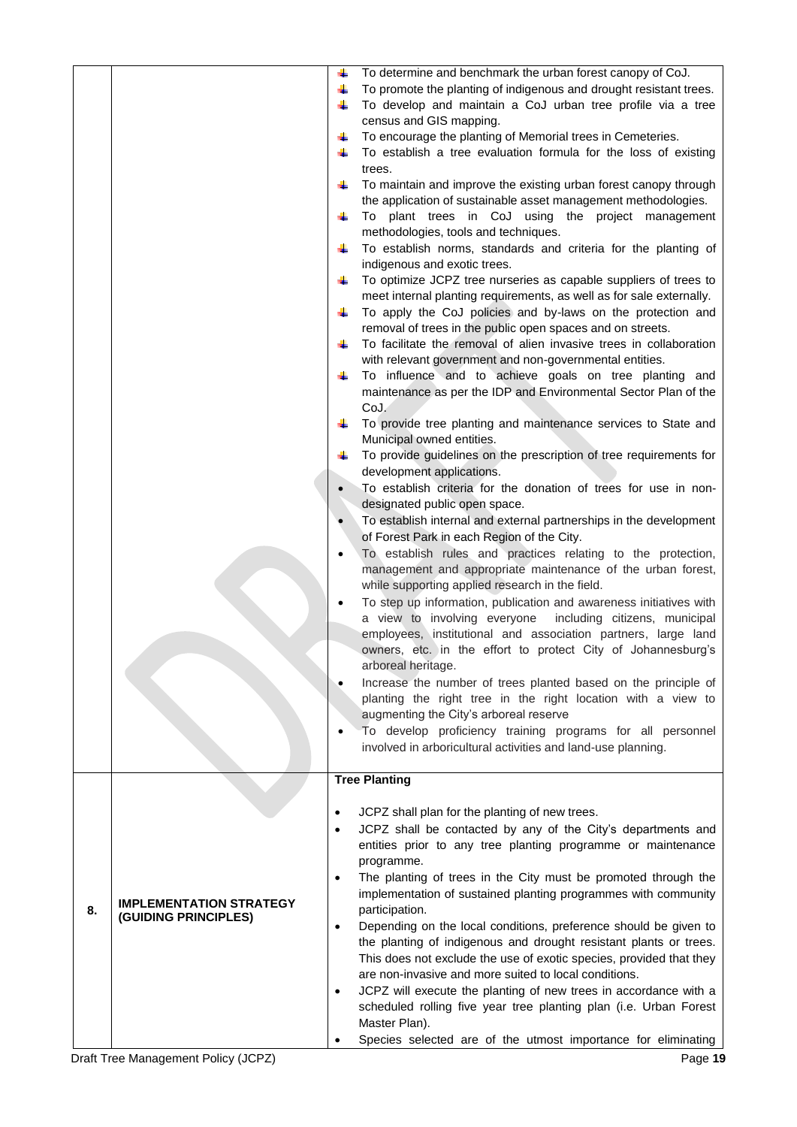|    |                                | 4         | To determine and benchmark the urban forest canopy of CoJ.           |
|----|--------------------------------|-----------|----------------------------------------------------------------------|
|    |                                | 4         | To promote the planting of indigenous and drought resistant trees.   |
|    |                                | ÷         | To develop and maintain a CoJ urban tree profile via a tree          |
|    |                                |           | census and GIS mapping.                                              |
|    |                                | ÷         | To encourage the planting of Memorial trees in Cemeteries.           |
|    |                                |           | To establish a tree evaluation formula for the loss of existing      |
|    |                                |           |                                                                      |
|    |                                |           | trees.                                                               |
|    |                                | ÷         | To maintain and improve the existing urban forest canopy through     |
|    |                                |           | the application of sustainable asset management methodologies.       |
|    |                                | ÷         | To plant trees in CoJ using the project management                   |
|    |                                |           | methodologies, tools and techniques.                                 |
|    |                                | ÷         | To establish norms, standards and criteria for the planting of       |
|    |                                |           | indigenous and exotic trees.                                         |
|    |                                | 4         | To optimize JCPZ tree nurseries as capable suppliers of trees to     |
|    |                                |           | meet internal planting requirements, as well as for sale externally. |
|    |                                |           |                                                                      |
|    |                                | ÷         | To apply the CoJ policies and by-laws on the protection and          |
|    |                                |           | removal of trees in the public open spaces and on streets.           |
|    |                                | ÷         | To facilitate the removal of alien invasive trees in collaboration   |
|    |                                |           | with relevant government and non-governmental entities.              |
|    |                                | ÷         | To influence and to achieve goals on tree planting and               |
|    |                                |           | maintenance as per the IDP and Environmental Sector Plan of the      |
|    |                                |           | CoJ.                                                                 |
|    |                                |           | To provide tree planting and maintenance services to State and       |
|    |                                |           | Municipal owned entities.                                            |
|    |                                |           |                                                                      |
|    |                                |           | To provide guidelines on the prescription of tree requirements for   |
|    |                                |           | development applications.                                            |
|    |                                |           | To establish criteria for the donation of trees for use in non-      |
|    |                                |           | designated public open space.                                        |
|    |                                |           | To establish internal and external partnerships in the development   |
|    |                                |           | of Forest Park in each Region of the City.                           |
|    |                                |           | To establish rules and practices relating to the protection,         |
|    |                                |           | management and appropriate maintenance of the urban forest,          |
|    |                                |           |                                                                      |
|    |                                |           | while supporting applied research in the field.                      |
|    |                                |           | To step up information, publication and awareness initiatives with   |
|    |                                |           | a view to involving everyone<br>including citizens, municipal        |
|    |                                |           | employees, institutional and association partners, large land        |
|    |                                |           | owners, etc. in the effort to protect City of Johannesburg's         |
|    |                                |           | arboreal heritage.                                                   |
|    |                                |           | Increase the number of trees planted based on the principle of       |
|    |                                |           | planting the right tree in the right location with a view to         |
|    |                                |           | augmenting the City's arboreal reserve                               |
|    |                                |           |                                                                      |
|    |                                |           | To develop proficiency training programs for all personnel           |
|    |                                |           | involved in arboricultural activities and land-use planning.         |
|    |                                |           |                                                                      |
|    |                                |           | <b>Tree Planting</b>                                                 |
|    |                                |           |                                                                      |
|    |                                | $\bullet$ | JCPZ shall plan for the planting of new trees.                       |
|    |                                | $\bullet$ | JCPZ shall be contacted by any of the City's departments and         |
|    |                                |           | entities prior to any tree planting programme or maintenance         |
|    |                                |           | programme.                                                           |
|    |                                | $\bullet$ | The planting of trees in the City must be promoted through the       |
|    |                                |           | implementation of sustained planting programmes with community       |
|    | <b>IMPLEMENTATION STRATEGY</b> |           |                                                                      |
| 8. | (GUIDING PRINCIPLES)           |           | participation.                                                       |
|    | $\bullet$                      |           | Depending on the local conditions, preference should be given to     |
|    |                                |           | the planting of indigenous and drought resistant plants or trees.    |
|    |                                |           | This does not exclude the use of exotic species, provided that they  |
|    |                                |           | are non-invasive and more suited to local conditions.                |
|    |                                | $\bullet$ | JCPZ will execute the planting of new trees in accordance with a     |
|    |                                |           | scheduled rolling five year tree planting plan (i.e. Urban Forest    |
|    |                                |           | Master Plan).                                                        |
|    |                                |           | Species selected are of the utmost importance for eliminating        |
|    |                                |           |                                                                      |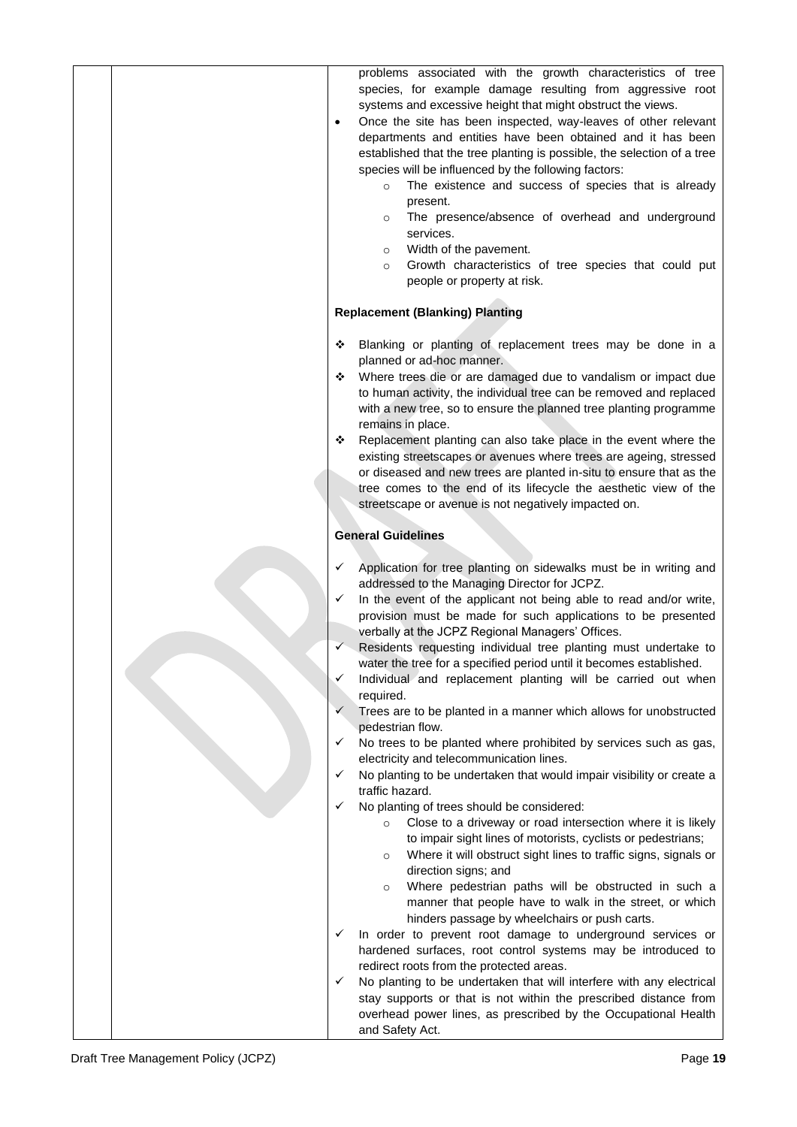|  | problems associated with the growth characteristics of tree<br>species, for example damage resulting from aggressive root<br>systems and excessive height that might obstruct the views.<br>Once the site has been inspected, way-leaves of other relevant<br>departments and entities have been obtained and it has been<br>established that the tree planting is possible, the selection of a tree<br>species will be influenced by the following factors:<br>The existence and success of species that is already<br>$\circ$<br>present.<br>The presence/absence of overhead and underground<br>$\circ$<br>services.<br>Width of the pavement.<br>$\circ$<br>Growth characteristics of tree species that could put<br>$\circ$                                                                                                                                                                                                                                                                                                                                                                                                                                                                                                                                                                                                                                                                                                                                                                                                                                                                                                                                                                                                                                                                                  |
|--|-------------------------------------------------------------------------------------------------------------------------------------------------------------------------------------------------------------------------------------------------------------------------------------------------------------------------------------------------------------------------------------------------------------------------------------------------------------------------------------------------------------------------------------------------------------------------------------------------------------------------------------------------------------------------------------------------------------------------------------------------------------------------------------------------------------------------------------------------------------------------------------------------------------------------------------------------------------------------------------------------------------------------------------------------------------------------------------------------------------------------------------------------------------------------------------------------------------------------------------------------------------------------------------------------------------------------------------------------------------------------------------------------------------------------------------------------------------------------------------------------------------------------------------------------------------------------------------------------------------------------------------------------------------------------------------------------------------------------------------------------------------------------------------------------------------------|
|  | people or property at risk.<br><b>Replacement (Blanking) Planting</b>                                                                                                                                                                                                                                                                                                                                                                                                                                                                                                                                                                                                                                                                                                                                                                                                                                                                                                                                                                                                                                                                                                                                                                                                                                                                                                                                                                                                                                                                                                                                                                                                                                                                                                                                             |
|  | Blanking or planting of replacement trees may be done in a<br>❖<br>planned or ad-hoc manner.<br>Where trees die or are damaged due to vandalism or impact due<br>❖<br>to human activity, the individual tree can be removed and replaced<br>with a new tree, so to ensure the planned tree planting programme<br>remains in place.<br>Replacement planting can also take place in the event where the<br>❖<br>existing streetscapes or avenues where trees are ageing, stressed<br>or diseased and new trees are planted in-situ to ensure that as the<br>tree comes to the end of its lifecycle the aesthetic view of the                                                                                                                                                                                                                                                                                                                                                                                                                                                                                                                                                                                                                                                                                                                                                                                                                                                                                                                                                                                                                                                                                                                                                                                        |
|  | streetscape or avenue is not negatively impacted on.<br><b>General Guidelines</b>                                                                                                                                                                                                                                                                                                                                                                                                                                                                                                                                                                                                                                                                                                                                                                                                                                                                                                                                                                                                                                                                                                                                                                                                                                                                                                                                                                                                                                                                                                                                                                                                                                                                                                                                 |
|  | Application for tree planting on sidewalks must be in writing and<br>✓<br>addressed to the Managing Director for JCPZ.<br>✓<br>In the event of the applicant not being able to read and/or write,<br>provision must be made for such applications to be presented<br>verbally at the JCPZ Regional Managers' Offices.<br>Residents requesting individual tree planting must undertake to<br>✓<br>water the tree for a specified period until it becomes established.<br>Individual and replacement planting will be carried out when<br>✓<br>required.<br>✓<br>Trees are to be planted in a manner which allows for unobstructed<br>pedestrian flow.<br>No trees to be planted where prohibited by services such as gas,<br>$\checkmark$<br>electricity and telecommunication lines.<br>No planting to be undertaken that would impair visibility or create a<br>$\checkmark$<br>traffic hazard.<br>$\checkmark$<br>No planting of trees should be considered:<br>Close to a driveway or road intersection where it is likely<br>$\circ$<br>to impair sight lines of motorists, cyclists or pedestrians;<br>Where it will obstruct sight lines to traffic signs, signals or<br>$\circ$<br>direction signs; and<br>Where pedestrian paths will be obstructed in such a<br>$\circ$<br>manner that people have to walk in the street, or which<br>hinders passage by wheelchairs or push carts.<br>In order to prevent root damage to underground services or<br>✓<br>hardened surfaces, root control systems may be introduced to<br>redirect roots from the protected areas.<br>No planting to be undertaken that will interfere with any electrical<br>✓<br>stay supports or that is not within the prescribed distance from<br>overhead power lines, as prescribed by the Occupational Health<br>and Safety Act. |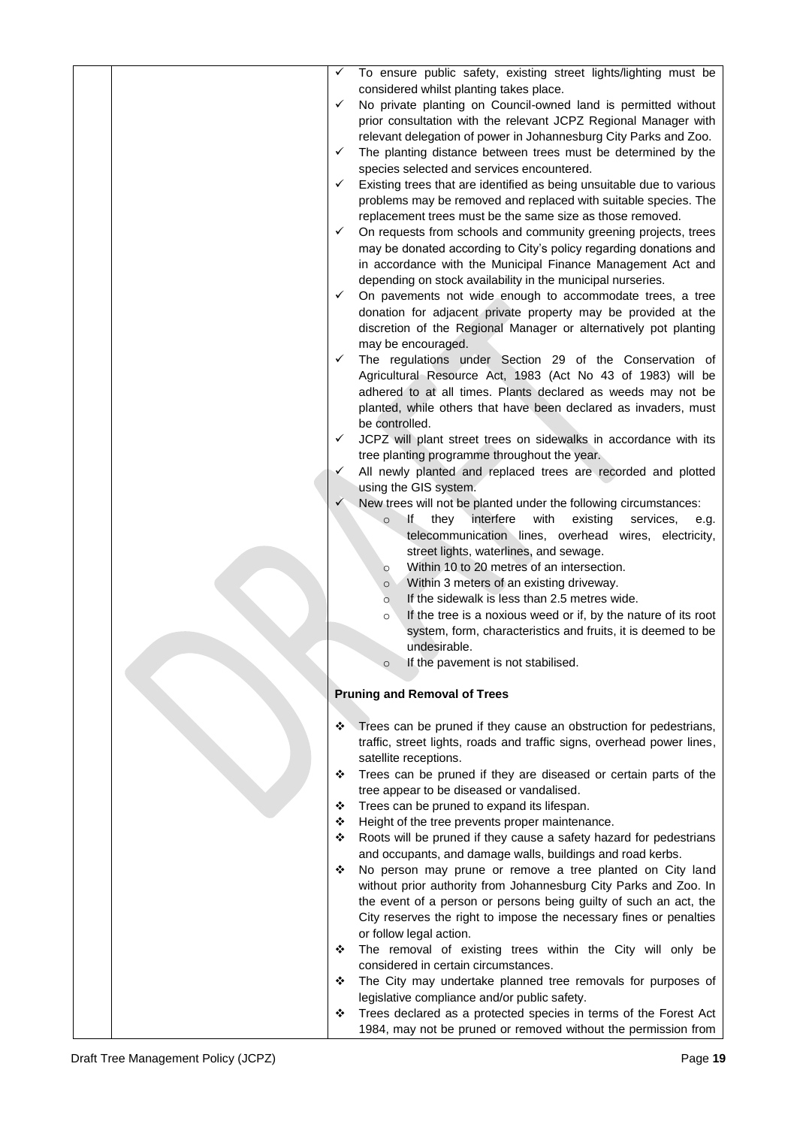| ✓ | To ensure public safety, existing street lights/lighting must be                                                           |
|---|----------------------------------------------------------------------------------------------------------------------------|
|   | considered whilst planting takes place.                                                                                    |
| ✓ | No private planting on Council-owned land is permitted without                                                             |
|   | prior consultation with the relevant JCPZ Regional Manager with                                                            |
|   | relevant delegation of power in Johannesburg City Parks and Zoo.                                                           |
| ✓ | The planting distance between trees must be determined by the                                                              |
|   | species selected and services encountered.                                                                                 |
| ✓ | Existing trees that are identified as being unsuitable due to various                                                      |
|   | problems may be removed and replaced with suitable species. The                                                            |
|   | replacement trees must be the same size as those removed.                                                                  |
| ✓ | On requests from schools and community greening projects, trees                                                            |
|   | may be donated according to City's policy regarding donations and                                                          |
|   | in accordance with the Municipal Finance Management Act and<br>depending on stock availability in the municipal nurseries. |
| ✓ | On pavements not wide enough to accommodate trees, a tree                                                                  |
|   | donation for adjacent private property may be provided at the                                                              |
|   | discretion of the Regional Manager or alternatively pot planting                                                           |
|   | may be encouraged.                                                                                                         |
| ✓ | The regulations under Section 29 of the Conservation of                                                                    |
|   | Agricultural Resource Act, 1983 (Act No 43 of 1983) will be                                                                |
|   | adhered to at all times. Plants declared as weeds may not be                                                               |
|   | planted, while others that have been declared as invaders, must                                                            |
|   | be controlled.                                                                                                             |
| ✓ | JCPZ will plant street trees on sidewalks in accordance with its                                                           |
|   | tree planting programme throughout the year.                                                                               |
| ✓ | All newly planted and replaced trees are recorded and plotted                                                              |
|   | using the GIS system.                                                                                                      |
| ✓ | New trees will not be planted under the following circumstances:                                                           |
|   | interfere<br>with<br>existing<br>lf.<br>they<br>services,<br>$\circ$<br>e.g.                                               |
|   | telecommunication lines, overhead wires, electricity,                                                                      |
|   | street lights, waterlines, and sewage.                                                                                     |
|   | Within 10 to 20 metres of an intersection.<br>$\circ$                                                                      |
|   | Within 3 meters of an existing driveway.<br>$\circ$                                                                        |
|   | If the sidewalk is less than 2.5 metres wide.<br>$\circ$                                                                   |
|   | If the tree is a noxious weed or if, by the nature of its root<br>$\circ$                                                  |
|   | system, form, characteristics and fruits, it is deemed to be                                                               |
|   | undesirable.                                                                                                               |
|   | If the pavement is not stabilised.                                                                                         |
|   |                                                                                                                            |
|   | <b>Pruning and Removal of Trees</b>                                                                                        |
| ❖ |                                                                                                                            |
|   | Trees can be pruned if they cause an obstruction for pedestrians,                                                          |
|   | traffic, street lights, roads and traffic signs, overhead power lines,<br>satellite receptions.                            |
| ❖ | Trees can be pruned if they are diseased or certain parts of the                                                           |
|   | tree appear to be diseased or vandalised.                                                                                  |
| ❖ | Trees can be pruned to expand its lifespan.                                                                                |
| ❖ | Height of the tree prevents proper maintenance.                                                                            |
| ❖ | Roots will be pruned if they cause a safety hazard for pedestrians                                                         |
|   | and occupants, and damage walls, buildings and road kerbs.                                                                 |
| ❖ | No person may prune or remove a tree planted on City land                                                                  |
|   | without prior authority from Johannesburg City Parks and Zoo. In                                                           |
|   | the event of a person or persons being guilty of such an act, the                                                          |
|   | City reserves the right to impose the necessary fines or penalties                                                         |
|   | or follow legal action.                                                                                                    |
| ❖ | The removal of existing trees within the City will only be                                                                 |
|   | considered in certain circumstances.                                                                                       |
| ❖ | The City may undertake planned tree removals for purposes of                                                               |
|   | legislative compliance and/or public safety.                                                                               |
| ❖ | Trees declared as a protected species in terms of the Forest Act                                                           |
|   | 1984, may not be pruned or removed without the permission from                                                             |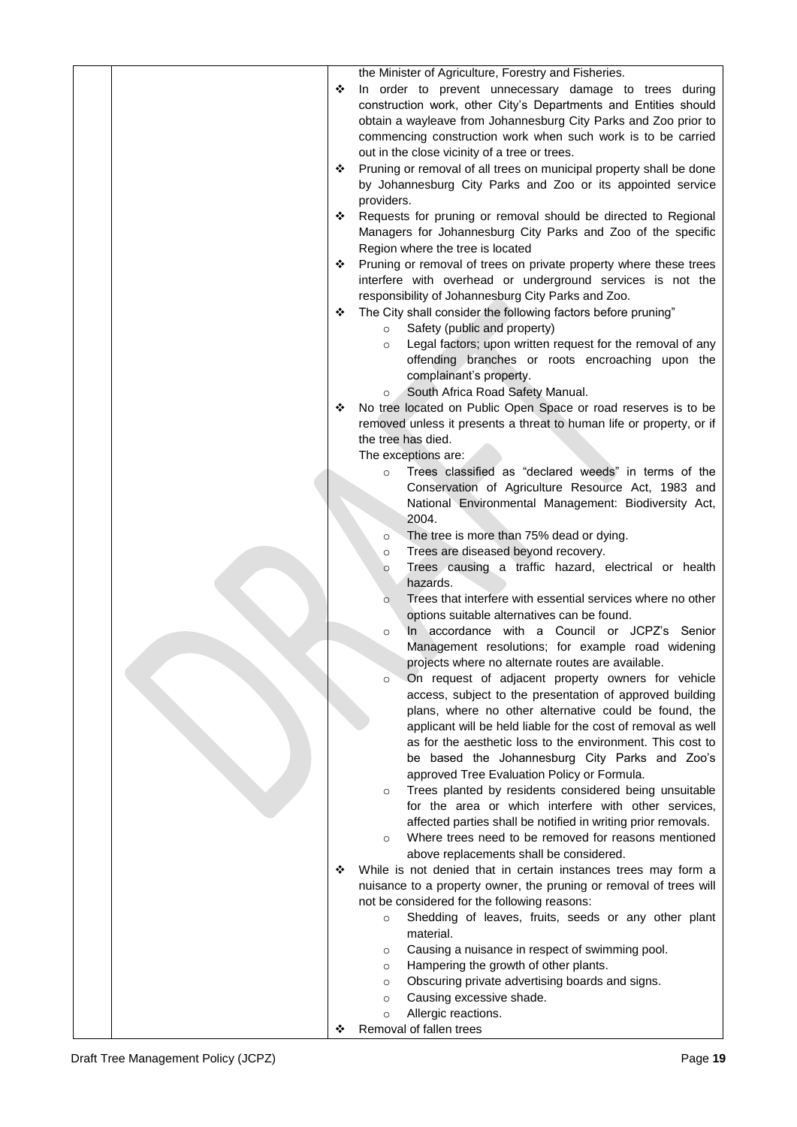| ❖ | the Minister of Agriculture, Forestry and Fisheries.<br>In order to prevent unnecessary damage to trees during<br>construction work, other City's Departments and Entities should<br>obtain a wayleave from Johannesburg City Parks and Zoo prior to<br>commencing construction work when such work is to be carried<br>out in the close vicinity of a tree or trees. |
|---|-----------------------------------------------------------------------------------------------------------------------------------------------------------------------------------------------------------------------------------------------------------------------------------------------------------------------------------------------------------------------|
| ❖ | Pruning or removal of all trees on municipal property shall be done<br>by Johannesburg City Parks and Zoo or its appointed service<br>providers.                                                                                                                                                                                                                      |
| ❖ | Requests for pruning or removal should be directed to Regional<br>Managers for Johannesburg City Parks and Zoo of the specific                                                                                                                                                                                                                                        |
| ❖ | Region where the tree is located<br>Pruning or removal of trees on private property where these trees<br>interfere with overhead or underground services is not the                                                                                                                                                                                                   |
| ❖ | responsibility of Johannesburg City Parks and Zoo.<br>The City shall consider the following factors before pruning"<br>Safety (public and property)<br>$\circ$                                                                                                                                                                                                        |
|   | Legal factors; upon written request for the removal of any<br>$\circ$<br>offending branches or roots encroaching upon the<br>complainant's property.<br>South Africa Road Safety Manual.<br>$\circ$                                                                                                                                                                   |
| ❖ | No tree located on Public Open Space or road reserves is to be<br>removed unless it presents a threat to human life or property, or if<br>the tree has died.<br>The exceptions are:                                                                                                                                                                                   |
|   | Trees classified as "declared weeds" in terms of the<br>$\Omega$<br>Conservation of Agriculture Resource Act, 1983 and<br>National Environmental Management: Biodiversity Act,                                                                                                                                                                                        |
|   | 2004.<br>The tree is more than 75% dead or dying.<br>$\circ$                                                                                                                                                                                                                                                                                                          |
|   | Trees are diseased beyond recovery.<br>$\circ$<br>Trees causing a traffic hazard, electrical or health<br>$\circ$<br>hazards.                                                                                                                                                                                                                                         |
|   | Trees that interfere with essential services where no other<br>$\circ$<br>options suitable alternatives can be found.<br>In accordance with a Council or JCPZ's Senior<br>$\circ$                                                                                                                                                                                     |
|   | Management resolutions; for example road widening<br>projects where no alternate routes are available.<br>On request of adjacent property owners for vehicle<br>$\circ$                                                                                                                                                                                               |
|   | access, subject to the presentation of approved building<br>plans, where no other alternative could be found, the                                                                                                                                                                                                                                                     |
|   | applicant will be held liable for the cost of removal as well<br>as for the aesthetic loss to the environment. This cost to<br>be based the Johannesburg City Parks and Zoo's<br>approved Tree Evaluation Policy or Formula.                                                                                                                                          |
|   | Trees planted by residents considered being unsuitable<br>$\circ$<br>for the area or which interfere with other services,<br>affected parties shall be notified in writing prior removals.                                                                                                                                                                            |
|   | Where trees need to be removed for reasons mentioned<br>$\circ$<br>above replacements shall be considered.                                                                                                                                                                                                                                                            |
| ❖ | While is not denied that in certain instances trees may form a<br>nuisance to a property owner, the pruning or removal of trees will<br>not be considered for the following reasons:<br>Shedding of leaves, fruits, seeds or any other plant                                                                                                                          |
|   | $\circ$<br>material.<br>Causing a nuisance in respect of swimming pool.<br>$\circ$                                                                                                                                                                                                                                                                                    |
|   | Hampering the growth of other plants.<br>$\circ$<br>Obscuring private advertising boards and signs.<br>$\circ$<br>Causing excessive shade.<br>$\circ$                                                                                                                                                                                                                 |
| ❖ | Allergic reactions.<br>$\circ$<br>Removal of fallen trees                                                                                                                                                                                                                                                                                                             |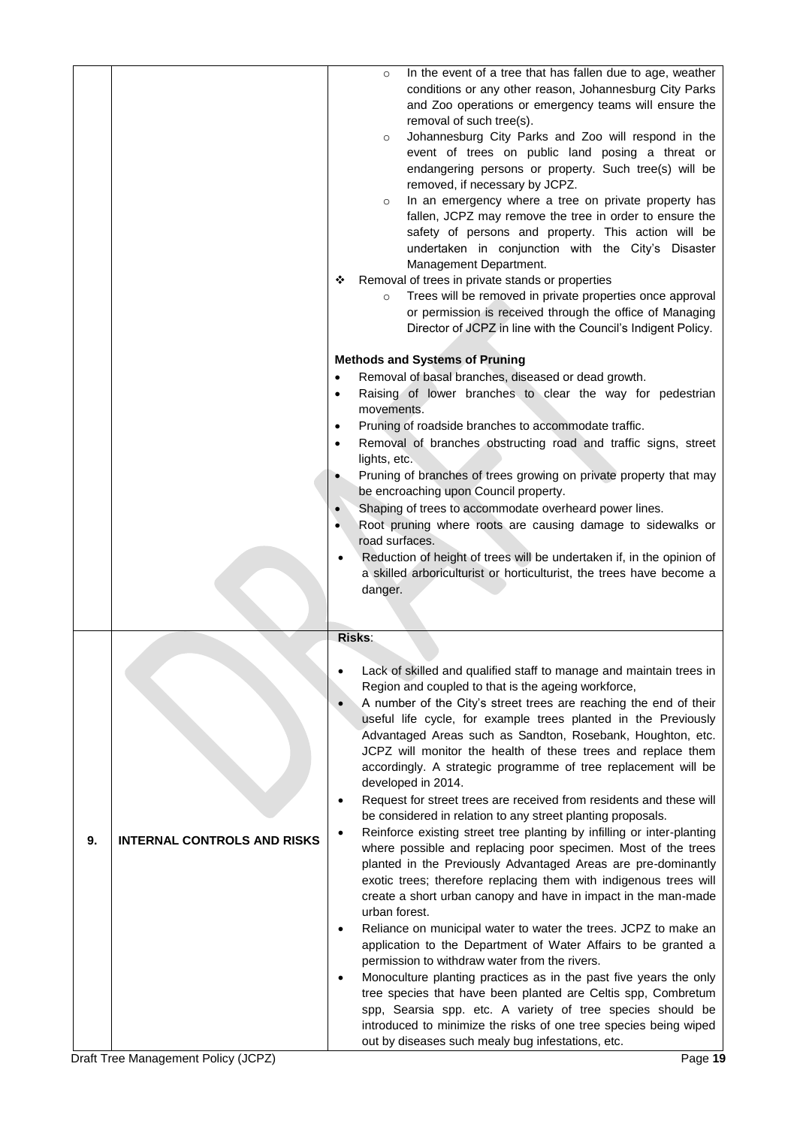|    |                                    | In the event of a tree that has fallen due to age, weather<br>$\circ$<br>conditions or any other reason, Johannesburg City Parks<br>and Zoo operations or emergency teams will ensure the<br>removal of such tree(s).<br>Johannesburg City Parks and Zoo will respond in the<br>$\circ$<br>event of trees on public land posing a threat or<br>endangering persons or property. Such tree(s) will be<br>removed, if necessary by JCPZ.<br>In an emergency where a tree on private property has<br>$\circ$<br>fallen, JCPZ may remove the tree in order to ensure the<br>safety of persons and property. This action will be<br>undertaken in conjunction with the City's Disaster<br>Management Department.<br>Removal of trees in private stands or properties<br>❖<br>Trees will be removed in private properties once approval<br>$\circ$<br>or permission is received through the office of Managing<br>Director of JCPZ in line with the Council's Indigent Policy.<br><b>Methods and Systems of Pruning</b><br>Removal of basal branches, diseased or dead growth.<br>Raising of lower branches to clear the way for pedestrian<br>$\bullet$<br>movements.<br>Pruning of roadside branches to accommodate traffic.<br>$\bullet$<br>Removal of branches obstructing road and traffic signs, street<br>lights, etc.<br>Pruning of branches of trees growing on private property that may<br>be encroaching upon Council property.<br>Shaping of trees to accommodate overheard power lines.<br>Root pruning where roots are causing damage to sidewalks or<br>road surfaces.<br>Reduction of height of trees will be undertaken if, in the opinion of<br>a skilled arboriculturist or horticulturist, the trees have become a |
|----|------------------------------------|-----------------------------------------------------------------------------------------------------------------------------------------------------------------------------------------------------------------------------------------------------------------------------------------------------------------------------------------------------------------------------------------------------------------------------------------------------------------------------------------------------------------------------------------------------------------------------------------------------------------------------------------------------------------------------------------------------------------------------------------------------------------------------------------------------------------------------------------------------------------------------------------------------------------------------------------------------------------------------------------------------------------------------------------------------------------------------------------------------------------------------------------------------------------------------------------------------------------------------------------------------------------------------------------------------------------------------------------------------------------------------------------------------------------------------------------------------------------------------------------------------------------------------------------------------------------------------------------------------------------------------------------------------------------------------------------------------------------------------------|
|    |                                    | danger.                                                                                                                                                                                                                                                                                                                                                                                                                                                                                                                                                                                                                                                                                                                                                                                                                                                                                                                                                                                                                                                                                                                                                                                                                                                                                                                                                                                                                                                                                                                                                                                                                                                                                                                           |
|    |                                    | Risks:                                                                                                                                                                                                                                                                                                                                                                                                                                                                                                                                                                                                                                                                                                                                                                                                                                                                                                                                                                                                                                                                                                                                                                                                                                                                                                                                                                                                                                                                                                                                                                                                                                                                                                                            |
| 9. | <b>INTERNAL CONTROLS AND RISKS</b> | Lack of skilled and qualified staff to manage and maintain trees in<br>Region and coupled to that is the ageing workforce,<br>A number of the City's street trees are reaching the end of their<br>$\bullet$<br>useful life cycle, for example trees planted in the Previously<br>Advantaged Areas such as Sandton, Rosebank, Houghton, etc.<br>JCPZ will monitor the health of these trees and replace them<br>accordingly. A strategic programme of tree replacement will be<br>developed in 2014.<br>Request for street trees are received from residents and these will<br>$\bullet$<br>be considered in relation to any street planting proposals.<br>Reinforce existing street tree planting by infilling or inter-planting<br>$\bullet$<br>where possible and replacing poor specimen. Most of the trees<br>planted in the Previously Advantaged Areas are pre-dominantly<br>exotic trees; therefore replacing them with indigenous trees will<br>create a short urban canopy and have in impact in the man-made<br>urban forest.<br>Reliance on municipal water to water the trees. JCPZ to make an<br>$\bullet$<br>application to the Department of Water Affairs to be granted a                                                                                                                                                                                                                                                                                                                                                                                                                                                                                                                                        |
|    |                                    | permission to withdraw water from the rivers.<br>Monoculture planting practices as in the past five years the only<br>$\bullet$<br>tree species that have been planted are Celtis spp, Combretum<br>spp, Searsia spp. etc. A variety of tree species should be<br>introduced to minimize the risks of one tree species being wiped<br>out by diseases such mealy bug infestations, etc.                                                                                                                                                                                                                                                                                                                                                                                                                                                                                                                                                                                                                                                                                                                                                                                                                                                                                                                                                                                                                                                                                                                                                                                                                                                                                                                                           |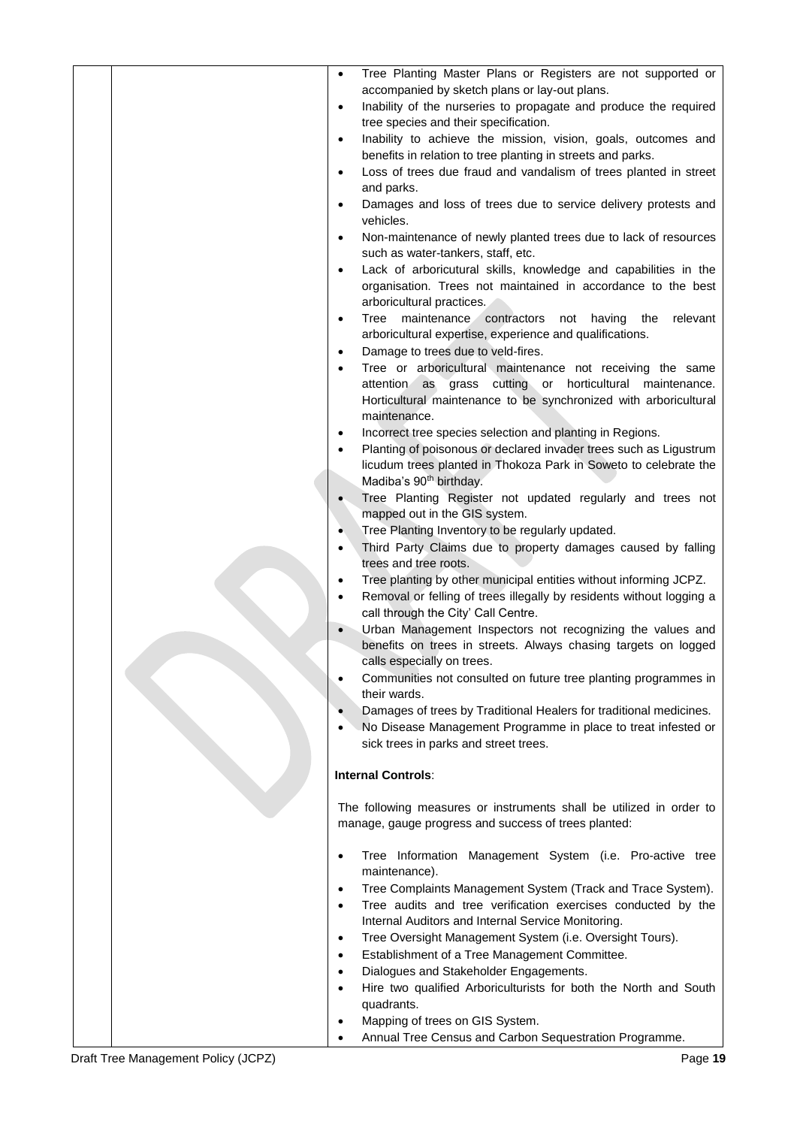| $\bullet$<br>$\bullet$<br>$\bullet$ | Tree Planting Master Plans or Registers are not supported or<br>accompanied by sketch plans or lay-out plans.<br>Inability of the nurseries to propagate and produce the required<br>tree species and their specification.<br>Inability to achieve the mission, vision, goals, outcomes and<br>benefits in relation to tree planting in streets and parks. |
|-------------------------------------|------------------------------------------------------------------------------------------------------------------------------------------------------------------------------------------------------------------------------------------------------------------------------------------------------------------------------------------------------------|
| $\bullet$<br>$\bullet$              | Loss of trees due fraud and vandalism of trees planted in street<br>and parks.<br>Damages and loss of trees due to service delivery protests and                                                                                                                                                                                                           |
|                                     | vehicles.                                                                                                                                                                                                                                                                                                                                                  |
| $\bullet$                           | Non-maintenance of newly planted trees due to lack of resources<br>such as water-tankers, staff, etc.                                                                                                                                                                                                                                                      |
| $\bullet$                           | Lack of arboricutural skills, knowledge and capabilities in the<br>organisation. Trees not maintained in accordance to the best<br>arboricultural practices.                                                                                                                                                                                               |
| $\bullet$<br>$\bullet$              | Tree maintenance<br>contractors<br>having<br>relevant<br>not<br>the<br>arboricultural expertise, experience and qualifications.<br>Damage to trees due to veld-fires.                                                                                                                                                                                      |
| $\bullet$                           | Tree or arboricultural maintenance not receiving the same<br>attention as grass cutting or horticultural<br>maintenance.                                                                                                                                                                                                                                   |
|                                     | Horticultural maintenance to be synchronized with arboricultural<br>maintenance.                                                                                                                                                                                                                                                                           |
| $\bullet$<br>$\bullet$              | Incorrect tree species selection and planting in Regions.<br>Planting of poisonous or declared invader trees such as Ligustrum                                                                                                                                                                                                                             |
|                                     | licudum trees planted in Thokoza Park in Soweto to celebrate the                                                                                                                                                                                                                                                                                           |
|                                     | Madiba's 90 <sup>th</sup> birthday.                                                                                                                                                                                                                                                                                                                        |
| $\bullet$                           | Tree Planting Register not updated regularly and trees not<br>mapped out in the GIS system.                                                                                                                                                                                                                                                                |
| $\bullet$                           | Tree Planting Inventory to be regularly updated.                                                                                                                                                                                                                                                                                                           |
| $\bullet$                           | Third Party Claims due to property damages caused by falling<br>trees and tree roots.                                                                                                                                                                                                                                                                      |
| $\bullet$<br>$\bullet$              | Tree planting by other municipal entities without informing JCPZ.<br>Removal or felling of trees illegally by residents without logging a<br>call through the City' Call Centre.                                                                                                                                                                           |
| $\bullet$                           | Urban Management Inspectors not recognizing the values and<br>benefits on trees in streets. Always chasing targets on logged<br>calls especially on trees.                                                                                                                                                                                                 |
| $\bullet$                           | Communities not consulted on future tree planting programmes in<br>their wards.                                                                                                                                                                                                                                                                            |
| $\bullet$<br>$\bullet$              | Damages of trees by Traditional Healers for traditional medicines.<br>No Disease Management Programme in place to treat infested or<br>sick trees in parks and street trees.                                                                                                                                                                               |
|                                     | <b>Internal Controls:</b>                                                                                                                                                                                                                                                                                                                                  |
|                                     | The following measures or instruments shall be utilized in order to<br>manage, gauge progress and success of trees planted:                                                                                                                                                                                                                                |
| $\bullet$                           | Tree Information Management System (i.e. Pro-active tree<br>maintenance).                                                                                                                                                                                                                                                                                  |
| $\bullet$<br>$\bullet$              | Tree Complaints Management System (Track and Trace System).<br>Tree audits and tree verification exercises conducted by the<br>Internal Auditors and Internal Service Monitoring.                                                                                                                                                                          |
| $\bullet$                           | Tree Oversight Management System (i.e. Oversight Tours).                                                                                                                                                                                                                                                                                                   |
| $\bullet$                           | Establishment of a Tree Management Committee.                                                                                                                                                                                                                                                                                                              |
| $\bullet$                           | Dialogues and Stakeholder Engagements.                                                                                                                                                                                                                                                                                                                     |
| $\bullet$                           | Hire two qualified Arboriculturists for both the North and South<br>quadrants.                                                                                                                                                                                                                                                                             |
| $\bullet$                           | Mapping of trees on GIS System.                                                                                                                                                                                                                                                                                                                            |
| $\bullet$                           | Annual Tree Census and Carbon Sequestration Programme.                                                                                                                                                                                                                                                                                                     |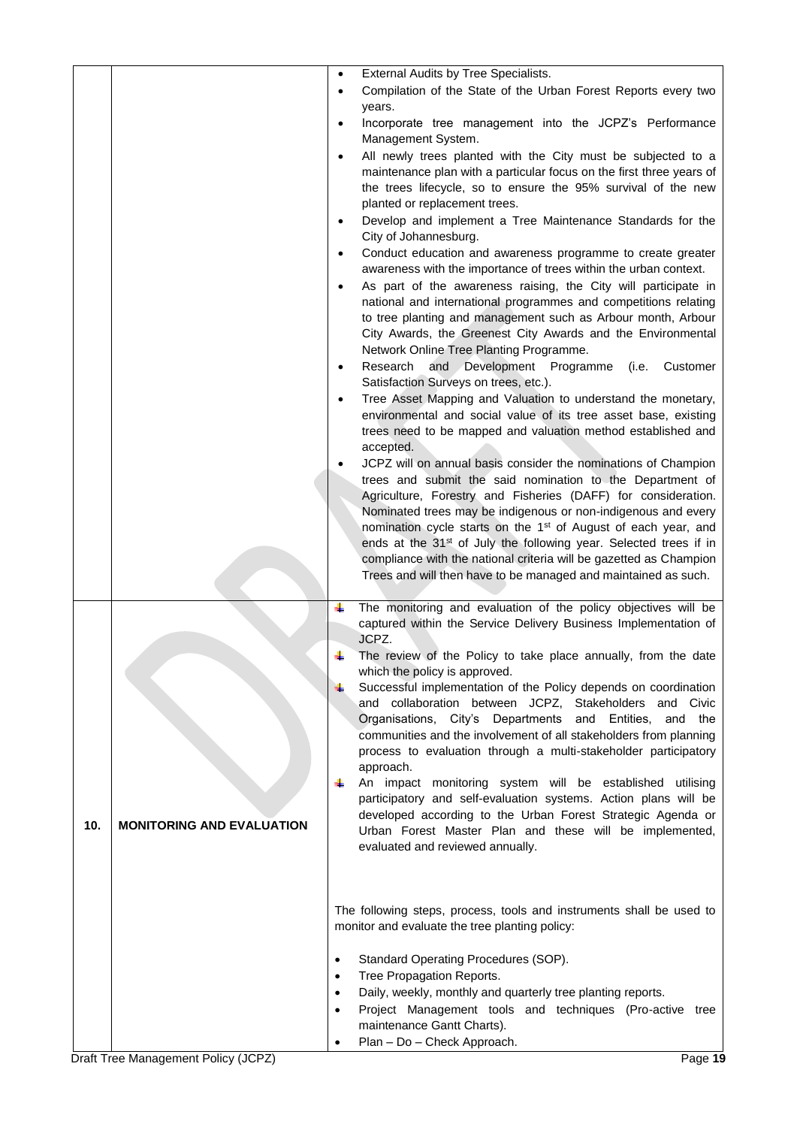|     |                                  | External Audits by Tree Specialists.<br>$\bullet$                                                                                                   |
|-----|----------------------------------|-----------------------------------------------------------------------------------------------------------------------------------------------------|
|     |                                  | Compilation of the State of the Urban Forest Reports every two                                                                                      |
|     |                                  | years.                                                                                                                                              |
|     |                                  | Incorporate tree management into the JCPZ's Performance<br>$\bullet$                                                                                |
|     |                                  | Management System.<br>All newly trees planted with the City must be subjected to a                                                                  |
|     |                                  | maintenance plan with a particular focus on the first three years of                                                                                |
|     |                                  | the trees lifecycle, so to ensure the 95% survival of the new                                                                                       |
|     |                                  | planted or replacement trees.                                                                                                                       |
|     |                                  | Develop and implement a Tree Maintenance Standards for the                                                                                          |
|     |                                  | City of Johannesburg.                                                                                                                               |
|     |                                  | Conduct education and awareness programme to create greater<br>awareness with the importance of trees within the urban context.                     |
|     |                                  | As part of the awareness raising, the City will participate in                                                                                      |
|     |                                  | national and international programmes and competitions relating                                                                                     |
|     |                                  | to tree planting and management such as Arbour month, Arbour                                                                                        |
|     |                                  | City Awards, the Greenest City Awards and the Environmental                                                                                         |
|     |                                  | Network Online Tree Planting Programme.<br>Research<br>and Development Programme<br>Customer<br>(i.e.<br>$\bullet$                                  |
|     |                                  | Satisfaction Surveys on trees, etc.).                                                                                                               |
|     |                                  | Tree Asset Mapping and Valuation to understand the monetary,                                                                                        |
|     |                                  | environmental and social value of its tree asset base, existing                                                                                     |
|     |                                  | trees need to be mapped and valuation method established and                                                                                        |
|     |                                  | accepted.<br>JCPZ will on annual basis consider the nominations of Champion                                                                         |
|     |                                  | trees and submit the said nomination to the Department of                                                                                           |
|     |                                  | Agriculture, Forestry and Fisheries (DAFF) for consideration.                                                                                       |
|     |                                  | Nominated trees may be indigenous or non-indigenous and every                                                                                       |
|     |                                  | nomination cycle starts on the 1 <sup>st</sup> of August of each year, and                                                                          |
|     |                                  | ends at the 31 <sup>st</sup> of July the following year. Selected trees if in<br>compliance with the national criteria will be gazetted as Champion |
|     |                                  | Trees and will then have to be managed and maintained as such.                                                                                      |
|     |                                  |                                                                                                                                                     |
|     |                                  | The monitoring and evaluation of the policy objectives will be<br>٠                                                                                 |
|     |                                  | captured within the Service Delivery Business Implementation of<br>JCPZ.                                                                            |
|     |                                  | The review of the Policy to take place annually, from the date<br>÷                                                                                 |
|     |                                  | which the policy is approved.                                                                                                                       |
|     |                                  | Successful implementation of the Policy depends on coordination                                                                                     |
|     |                                  | and collaboration between JCPZ, Stakeholders and Civic                                                                                              |
|     |                                  | Organisations, City's Departments and Entities, and the<br>communities and the involvement of all stakeholders from planning                        |
|     |                                  | process to evaluation through a multi-stakeholder participatory                                                                                     |
|     |                                  | approach.                                                                                                                                           |
|     |                                  | An impact monitoring system will be established utilising<br>÷                                                                                      |
|     |                                  | participatory and self-evaluation systems. Action plans will be<br>developed according to the Urban Forest Strategic Agenda or                      |
| 10. | <b>MONITORING AND EVALUATION</b> | Urban Forest Master Plan and these will be implemented,                                                                                             |
|     |                                  | evaluated and reviewed annually.                                                                                                                    |
|     |                                  |                                                                                                                                                     |
|     |                                  |                                                                                                                                                     |
|     |                                  | The following steps, process, tools and instruments shall be used to                                                                                |
|     |                                  | monitor and evaluate the tree planting policy:                                                                                                      |
|     |                                  |                                                                                                                                                     |
|     |                                  | Standard Operating Procedures (SOP).<br>$\bullet$                                                                                                   |
|     |                                  | Tree Propagation Reports.<br>$\bullet$<br>Daily, weekly, monthly and quarterly tree planting reports.<br>$\bullet$                                  |
|     |                                  | Project Management tools and techniques (Pro-active tree<br>$\bullet$                                                                               |
|     |                                  | maintenance Gantt Charts).                                                                                                                          |
|     |                                  | Plan - Do - Check Approach.                                                                                                                         |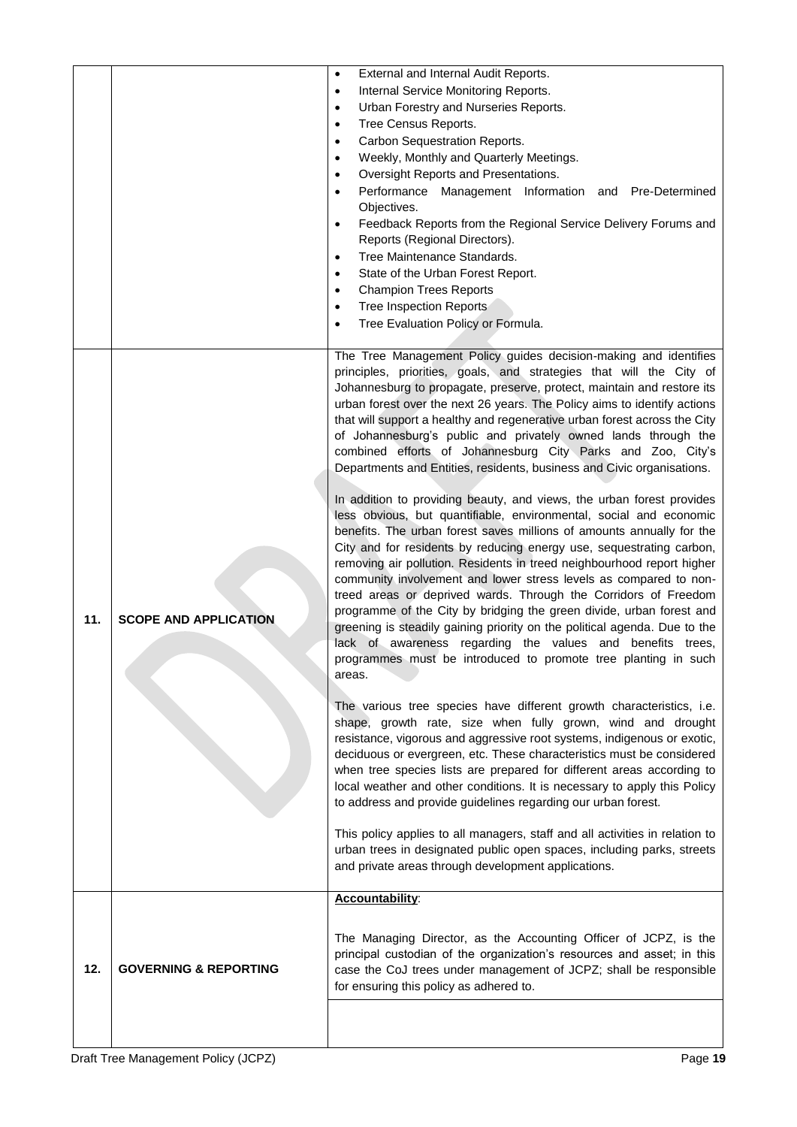|     |                                  | External and Internal Audit Reports.<br>$\bullet$                                                                                                      |
|-----|----------------------------------|--------------------------------------------------------------------------------------------------------------------------------------------------------|
|     |                                  | Internal Service Monitoring Reports.<br>$\bullet$                                                                                                      |
|     |                                  | Urban Forestry and Nurseries Reports.<br>$\bullet$                                                                                                     |
|     |                                  | Tree Census Reports.<br>$\bullet$                                                                                                                      |
|     |                                  | Carbon Sequestration Reports.<br>$\bullet$                                                                                                             |
|     |                                  | Weekly, Monthly and Quarterly Meetings.<br>$\bullet$                                                                                                   |
|     |                                  | Oversight Reports and Presentations.<br>$\bullet$                                                                                                      |
|     |                                  | Performance Management Information and Pre-Determined<br>$\bullet$                                                                                     |
|     |                                  | Objectives.                                                                                                                                            |
|     |                                  | Feedback Reports from the Regional Service Delivery Forums and<br>$\bullet$                                                                            |
|     |                                  | Reports (Regional Directors).                                                                                                                          |
|     |                                  | Tree Maintenance Standards.<br>$\bullet$                                                                                                               |
|     |                                  | State of the Urban Forest Report.<br>$\bullet$                                                                                                         |
|     |                                  | <b>Champion Trees Reports</b><br>$\bullet$                                                                                                             |
|     |                                  | <b>Tree Inspection Reports</b><br>$\bullet$                                                                                                            |
|     |                                  | Tree Evaluation Policy or Formula.<br>$\bullet$                                                                                                        |
|     |                                  |                                                                                                                                                        |
|     |                                  | The Tree Management Policy guides decision-making and identifies                                                                                       |
|     |                                  | principles, priorities, goals, and strategies that will the City of                                                                                    |
|     |                                  | Johannesburg to propagate, preserve, protect, maintain and restore its                                                                                 |
|     |                                  | urban forest over the next 26 years. The Policy aims to identify actions                                                                               |
|     |                                  | that will support a healthy and regenerative urban forest across the City                                                                              |
|     |                                  | of Johannesburg's public and privately owned lands through the                                                                                         |
|     |                                  | combined efforts of Johannesburg City Parks and Zoo, City's                                                                                            |
|     |                                  | Departments and Entities, residents, business and Civic organisations.                                                                                 |
|     |                                  |                                                                                                                                                        |
|     |                                  | In addition to providing beauty, and views, the urban forest provides                                                                                  |
|     |                                  | less obvious, but quantifiable, environmental, social and economic                                                                                     |
|     |                                  | benefits. The urban forest saves millions of amounts annually for the                                                                                  |
|     |                                  | City and for residents by reducing energy use, sequestrating carbon,                                                                                   |
|     |                                  | removing air pollution. Residents in treed neighbourhood report higher                                                                                 |
|     |                                  | community involvement and lower stress levels as compared to non-                                                                                      |
|     |                                  |                                                                                                                                                        |
|     |                                  | treed areas or deprived wards. Through the Corridors of Freedom                                                                                        |
| 11. | <b>SCOPE AND APPLICATION</b>     | programme of the City by bridging the green divide, urban forest and                                                                                   |
|     |                                  | greening is steadily gaining priority on the political agenda. Due to the                                                                              |
|     |                                  | lack of awareness regarding the values and benefits trees,                                                                                             |
|     |                                  | programmes must be introduced to promote tree planting in such                                                                                         |
|     |                                  | areas.                                                                                                                                                 |
|     |                                  |                                                                                                                                                        |
|     |                                  | The various tree species have different growth characteristics, i.e.                                                                                   |
|     |                                  | shape, growth rate, size when fully grown, wind and drought                                                                                            |
|     |                                  | resistance, vigorous and aggressive root systems, indigenous or exotic,                                                                                |
|     |                                  | deciduous or evergreen, etc. These characteristics must be considered                                                                                  |
|     |                                  | when tree species lists are prepared for different areas according to                                                                                  |
|     |                                  | local weather and other conditions. It is necessary to apply this Policy                                                                               |
|     |                                  | to address and provide guidelines regarding our urban forest.                                                                                          |
|     |                                  |                                                                                                                                                        |
|     |                                  | This policy applies to all managers, staff and all activities in relation to<br>urban trees in designated public open spaces, including parks, streets |
|     |                                  | and private areas through development applications.                                                                                                    |
|     |                                  |                                                                                                                                                        |
|     |                                  | Accountability:                                                                                                                                        |
|     |                                  |                                                                                                                                                        |
|     |                                  |                                                                                                                                                        |
|     |                                  | The Managing Director, as the Accounting Officer of JCPZ, is the                                                                                       |
| 12. | <b>GOVERNING &amp; REPORTING</b> | principal custodian of the organization's resources and asset; in this<br>case the CoJ trees under management of JCPZ; shall be responsible            |
|     |                                  | for ensuring this policy as adhered to.                                                                                                                |
|     |                                  |                                                                                                                                                        |
|     |                                  |                                                                                                                                                        |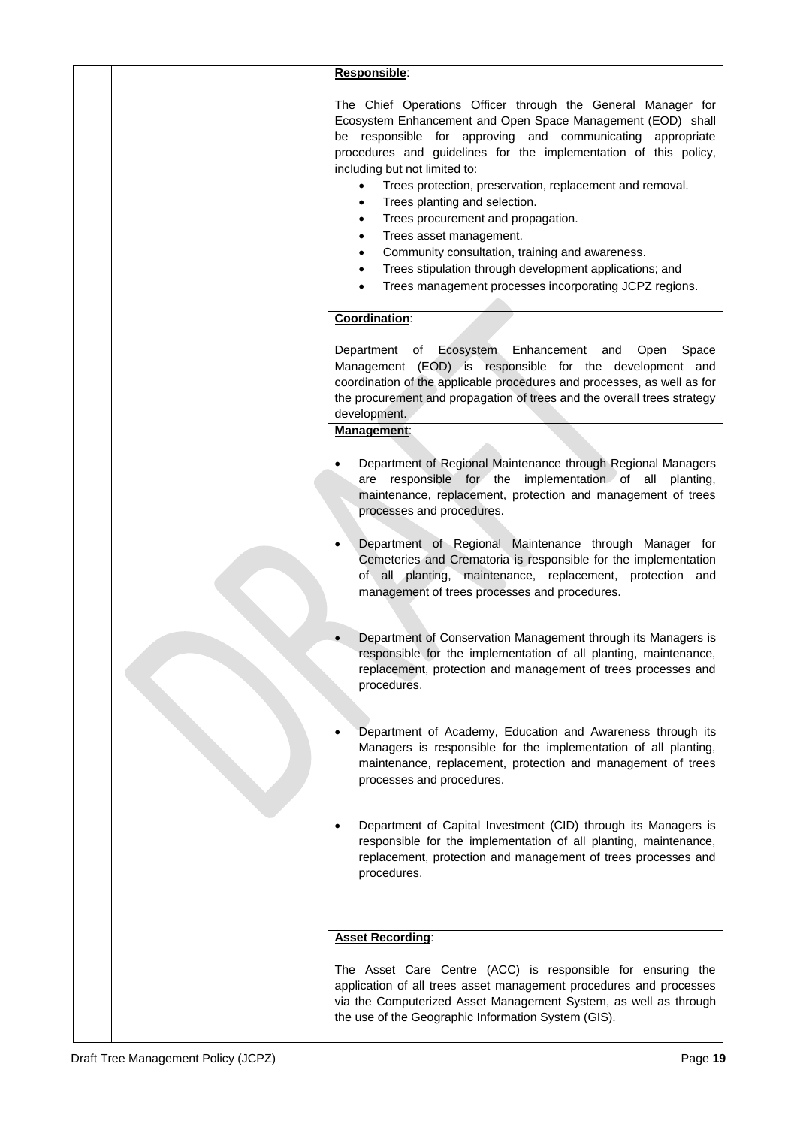| Responsible:                                                                                                                                                                                                                                                                                                                                                                                                                                                                                                                                                                                                                                                                                                       |
|--------------------------------------------------------------------------------------------------------------------------------------------------------------------------------------------------------------------------------------------------------------------------------------------------------------------------------------------------------------------------------------------------------------------------------------------------------------------------------------------------------------------------------------------------------------------------------------------------------------------------------------------------------------------------------------------------------------------|
| The Chief Operations Officer through the General Manager for<br>Ecosystem Enhancement and Open Space Management (EOD) shall<br>be responsible for approving and communicating appropriate<br>procedures and guidelines for the implementation of this policy,<br>including but not limited to:<br>Trees protection, preservation, replacement and removal.<br>$\bullet$<br>Trees planting and selection.<br>$\bullet$<br>Trees procurement and propagation.<br>$\bullet$<br>Trees asset management.<br>$\bullet$<br>Community consultation, training and awareness.<br>$\bullet$<br>Trees stipulation through development applications; and<br>$\bullet$<br>Trees management processes incorporating JCPZ regions. |
| Coordination:                                                                                                                                                                                                                                                                                                                                                                                                                                                                                                                                                                                                                                                                                                      |
| Department of Ecosystem Enhancement and<br>Open<br>Space<br>Management (EOD) is responsible for the development and<br>coordination of the applicable procedures and processes, as well as for<br>the procurement and propagation of trees and the overall trees strategy<br>development.<br>Management:                                                                                                                                                                                                                                                                                                                                                                                                           |
|                                                                                                                                                                                                                                                                                                                                                                                                                                                                                                                                                                                                                                                                                                                    |
| Department of Regional Maintenance through Regional Managers<br>are responsible for the implementation of all planting,<br>maintenance, replacement, protection and management of trees<br>processes and procedures.                                                                                                                                                                                                                                                                                                                                                                                                                                                                                               |
| Department of Regional Maintenance through Manager for<br>Cemeteries and Crematoria is responsible for the implementation<br>of all planting, maintenance, replacement, protection and<br>management of trees processes and procedures.                                                                                                                                                                                                                                                                                                                                                                                                                                                                            |
| Department of Conservation Management through its Managers is<br>responsible for the implementation of all planting, maintenance,<br>replacement, protection and management of trees processes and<br>procedures.                                                                                                                                                                                                                                                                                                                                                                                                                                                                                                  |
| Department of Academy, Education and Awareness through its<br>Managers is responsible for the implementation of all planting,<br>maintenance, replacement, protection and management of trees<br>processes and procedures.                                                                                                                                                                                                                                                                                                                                                                                                                                                                                         |
| Department of Capital Investment (CID) through its Managers is<br>responsible for the implementation of all planting, maintenance,<br>replacement, protection and management of trees processes and<br>procedures.                                                                                                                                                                                                                                                                                                                                                                                                                                                                                                 |
| <b>Asset Recording:</b>                                                                                                                                                                                                                                                                                                                                                                                                                                                                                                                                                                                                                                                                                            |
| The Asset Care Centre (ACC) is responsible for ensuring the<br>application of all trees asset management procedures and processes<br>via the Computerized Asset Management System, as well as through<br>the use of the Geographic Information System (GIS).                                                                                                                                                                                                                                                                                                                                                                                                                                                       |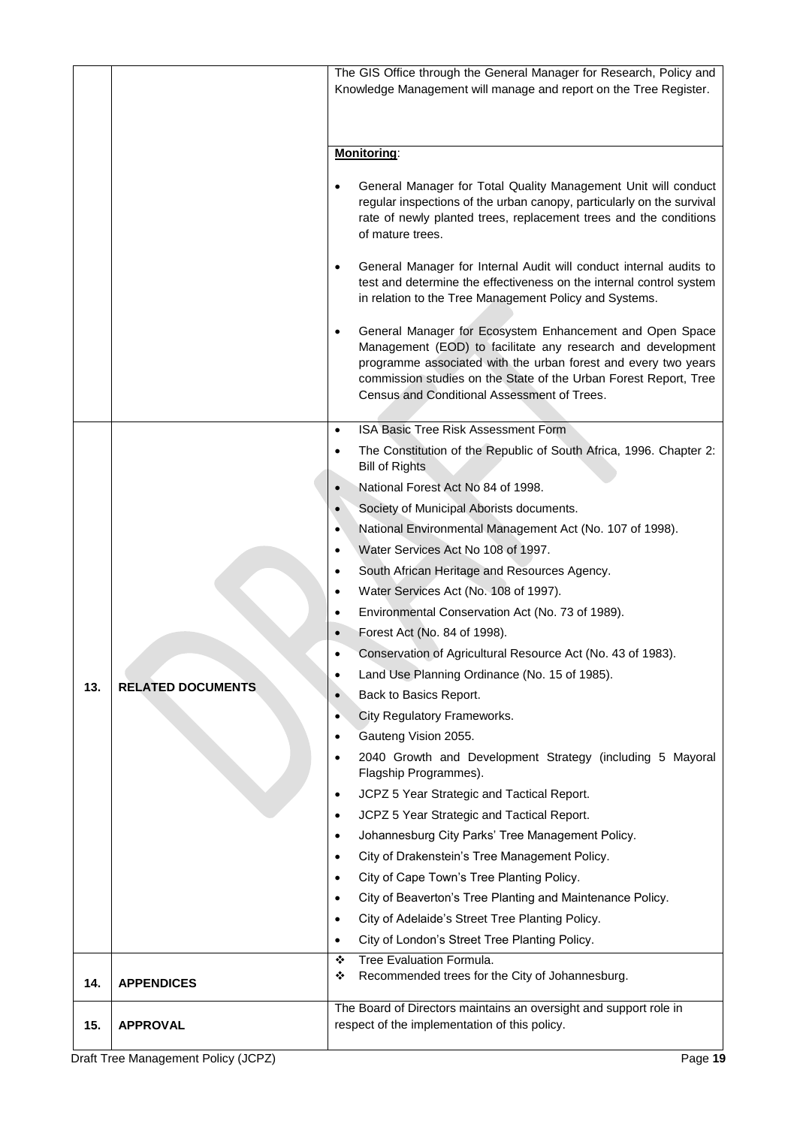|     |                                                                                                                                    | The GIS Office through the General Manager for Research, Policy and<br>Knowledge Management will manage and report on the Tree Register.                                                                                                                                                                          |
|-----|------------------------------------------------------------------------------------------------------------------------------------|-------------------------------------------------------------------------------------------------------------------------------------------------------------------------------------------------------------------------------------------------------------------------------------------------------------------|
|     |                                                                                                                                    |                                                                                                                                                                                                                                                                                                                   |
|     |                                                                                                                                    |                                                                                                                                                                                                                                                                                                                   |
|     |                                                                                                                                    | Monitoring:                                                                                                                                                                                                                                                                                                       |
|     |                                                                                                                                    |                                                                                                                                                                                                                                                                                                                   |
|     |                                                                                                                                    | General Manager for Total Quality Management Unit will conduct<br>regular inspections of the urban canopy, particularly on the survival<br>rate of newly planted trees, replacement trees and the conditions<br>of mature trees.                                                                                  |
|     |                                                                                                                                    | General Manager for Internal Audit will conduct internal audits to<br>٠<br>test and determine the effectiveness on the internal control system<br>in relation to the Tree Management Policy and Systems.                                                                                                          |
|     |                                                                                                                                    | General Manager for Ecosystem Enhancement and Open Space<br>٠<br>Management (EOD) to facilitate any research and development<br>programme associated with the urban forest and every two years<br>commission studies on the State of the Urban Forest Report, Tree<br>Census and Conditional Assessment of Trees. |
|     |                                                                                                                                    | ISA Basic Tree Risk Assessment Form<br>$\bullet$                                                                                                                                                                                                                                                                  |
|     |                                                                                                                                    | The Constitution of the Republic of South Africa, 1996. Chapter 2:<br><b>Bill of Rights</b>                                                                                                                                                                                                                       |
|     |                                                                                                                                    | National Forest Act No 84 of 1998.                                                                                                                                                                                                                                                                                |
|     |                                                                                                                                    | Society of Municipal Aborists documents.<br>$\bullet$                                                                                                                                                                                                                                                             |
|     |                                                                                                                                    | National Environmental Management Act (No. 107 of 1998).<br>٠                                                                                                                                                                                                                                                     |
|     |                                                                                                                                    | Water Services Act No 108 of 1997.<br>٠                                                                                                                                                                                                                                                                           |
|     |                                                                                                                                    | South African Heritage and Resources Agency.<br>٠                                                                                                                                                                                                                                                                 |
|     |                                                                                                                                    | Water Services Act (No. 108 of 1997).<br>٠                                                                                                                                                                                                                                                                        |
|     |                                                                                                                                    | Environmental Conservation Act (No. 73 of 1989).<br>٠                                                                                                                                                                                                                                                             |
|     |                                                                                                                                    | Forest Act (No. 84 of 1998).                                                                                                                                                                                                                                                                                      |
|     |                                                                                                                                    | Conservation of Agricultural Resource Act (No. 43 of 1983).<br>٠                                                                                                                                                                                                                                                  |
|     | <b>RELATED DOCUMENTS</b><br>$\bullet$<br>$\bullet$<br>$\bullet$<br>٠<br>٠<br>$\bullet$<br>$\bullet$<br>$\bullet$<br>$\bullet$<br>٠ | Land Use Planning Ordinance (No. 15 of 1985).                                                                                                                                                                                                                                                                     |
| 13. |                                                                                                                                    | Back to Basics Report.                                                                                                                                                                                                                                                                                            |
|     |                                                                                                                                    | City Regulatory Frameworks.                                                                                                                                                                                                                                                                                       |
|     |                                                                                                                                    | Gauteng Vision 2055.                                                                                                                                                                                                                                                                                              |
|     |                                                                                                                                    | 2040 Growth and Development Strategy (including 5 Mayoral<br>Flagship Programmes).                                                                                                                                                                                                                                |
|     |                                                                                                                                    | JCPZ 5 Year Strategic and Tactical Report.                                                                                                                                                                                                                                                                        |
|     |                                                                                                                                    | JCPZ 5 Year Strategic and Tactical Report.                                                                                                                                                                                                                                                                        |
|     |                                                                                                                                    | Johannesburg City Parks' Tree Management Policy.                                                                                                                                                                                                                                                                  |
|     |                                                                                                                                    | City of Drakenstein's Tree Management Policy.                                                                                                                                                                                                                                                                     |
|     |                                                                                                                                    | City of Cape Town's Tree Planting Policy.                                                                                                                                                                                                                                                                         |
|     |                                                                                                                                    | City of Beaverton's Tree Planting and Maintenance Policy.                                                                                                                                                                                                                                                         |
|     |                                                                                                                                    | City of Adelaide's Street Tree Planting Policy.                                                                                                                                                                                                                                                                   |
|     |                                                                                                                                    | City of London's Street Tree Planting Policy.                                                                                                                                                                                                                                                                     |
|     |                                                                                                                                    | Tree Evaluation Formula.<br>❖                                                                                                                                                                                                                                                                                     |
| 14. | <b>APPENDICES</b>                                                                                                                  | Recommended trees for the City of Johannesburg.<br>❖                                                                                                                                                                                                                                                              |
| 15. | <b>APPROVAL</b>                                                                                                                    | The Board of Directors maintains an oversight and support role in<br>respect of the implementation of this policy.                                                                                                                                                                                                |